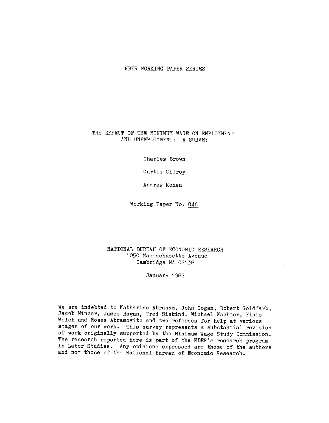#### THE EFFECT OF THE MINIMUM WAGE ON EMPLOYMENT AND UNEMPLOYMENT: A SURVEY

Charles Brown

Curtis Gilroy

Andrew Kohen

Working Paper No. 846

#### NATIONAL BUREAU OF ECONOMIC RESEARCH 1050 Massachusetts Avenue Cambridge MA 02138

January 1 982

We are indebted to Katharine Abraham, John Cogan, Robert Goldfarb, Jacob Mincer, James Ragan, Fred Siskind, Michael Wachter, Finis Welch and Moses Abramovitz and two referees for help at various stages of our work. This survey represents a substantial revision of work originally supported by the Minimum Wage Study Commission. The research reported here is part of the NBER's research program in Labor Studies. Any opinions expressed are those of the authors and not those of the National Bureau of Economic Research.

 $\sim$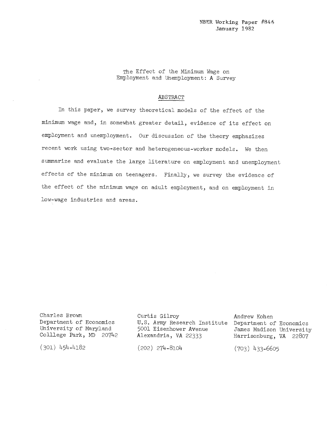The Effect of the Minimum Wage on Employment and Unemployment: A Survey

#### **ABSTRACT**

In this paper, we survey theoretical models of the effect of the minimum wage and, in somewhat greater detail, evidence of its effect on employment and unemployment. Our discussion of the theory emphasizes recent work using two-sector and heterogeneous-worker models. We then summarize and evaluate the large literature on employment and unemployment effects of the minimum on teenagers. Finally, we survey the evidence of the effect of the minimum wage on adult employment, and on employment in low-wage industries and areas.

Charles Brown Department of Economics<br>University of Maryland Colllege Park, MD 20742

 $(301)$  454-4182

5001 Eisenhower Avenue Alexandria, VA 22333

Curtis Gilroy U.S. Army Research Institute Department of Economics Andrew Kohen James Madison University Harrisonburg, VA 22807

 $(202)$  274-8104

 $(703)$  433-6605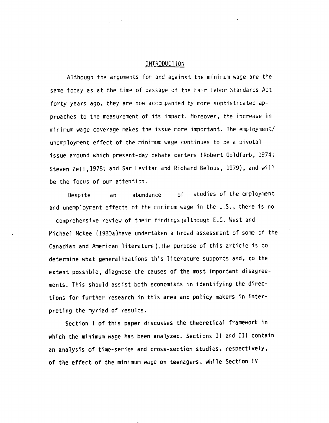#### INTRODUCTION

Although the arguments for and against the minimum wage are the same today as at the time of passage of the Fair Labor Standards Act forty years ago, they are now accompanied by more sophisticated approaches to the measurement of its impact. Moreover, the increase in  $minimum$  wage coverage makes the issue more important. The employment/ unemployment effect of the minimum wage continues to be a pivotal issue around which present-day debate centers (Robert Goldfarb, 1974; Steven Zell, 1978; and Sar Levitan and Richard Belous, 1979), and will be the focus of our attention.

Despite an abundance of studies of the employment and unemployment effects of the minimum wage in the U.S., there is no comprehensive review of their findings (although E.G. West and Michael McKee (1980a)have undertaken a broad assessment of some of the Canadian and American literature).The purpose of this article is to determine what generalizations this literature supports and, to the extent possible, diagnose the causes of the most important disagreements. This should assist both economists in identifying the directions for further research in this area and policy makers in interpreting the myriad of results.

Section I of this paper discusses the theoretical framework in which the minimum wage has been analyzed. Sections II and III contain an analysis of time-series and cross-section studies, respectively, of the effect of the minimum wage on teenagers, while Section IV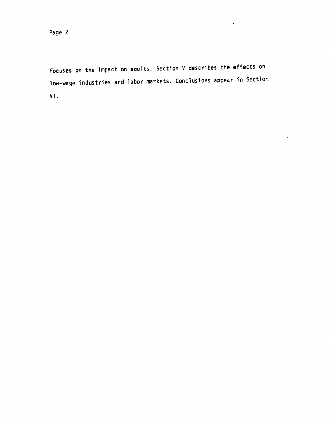focuses on the Impact on adults. Section V describes the effects on low-wage industries and labor markets. Conclusions appear in Section VI.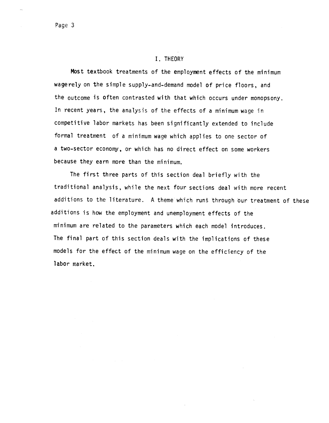#### I. THEORY

Most textbook treatments of the employment effects of the minimum wagerely on the simple supply-and—demand model of price floors, and the outcome is often contrasted with that which occurs under monopsony. In recent years, the analysis of the effects of a minimum wage in competitive labor markets has been significantly extended to include formal treatment of a minimum wage which applies to one sector of a two-sector economy, or which has no direct effect on some workers because they earn more than the minimum.

The first three parts of this section deal briefly with the traditional analysis, while the next four sections deal with more recent additions to the literature. A theme which runs through our treatment of these additions is how the employment and unemployment effects of the minimum are related to the parameters which each model introduces. The final part of this section deals with the implications of these models for the effect of the minimum wage on the efficiency of the labor market.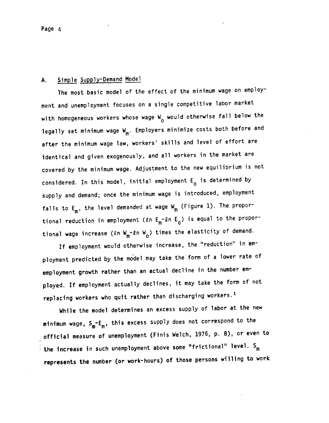# A. Simple Supply-Demand Model

The most basic model of the effect of the minimum wage on employment and unemployment focuses on a single competitive labor market with homogeneous workers whose wage  $W_{0}$  would otherwise fall below the legally set minimum wage  $W_m$ . Employers minimize costs both before and after the minimum wage law, workers' skills and level of effort are identical and given exogenously, and all workers in the market are covered by the minimum wage. Adjustment to the new equilibrium is not considered. In this model, initial employment  $E_0$  is determined by supply and demand; once the minimum wage is introduced, employment falls to  $E_m$ , the level demanded at wage  $W_m$  (Figure 1). The proportional reduction in employment (£n  $E_m$ -£n  $E_o$ ) is equal to the proportional wage increase ( $\ell$ n W<sub>m</sub>- $\ell$ n W<sub>o</sub>) times the elasticity of demand.

If employment would otherwise increase, the "reduction" in employment predicted by the model may take the form of a lower rate of employment growth rather than an actual decline in the number employed. If employment actually declines, it may take the form of not replacing workers who quit rather than discharging workers.<sup>1</sup>

While the model determines an excess supply of labor at the new minimum wage,  $S_m - E_m$ , this excess supply does not correspond to the official measure of unemployment (Finis Welch, 1976, p. 8), or even to the increase in such unemployment above some "frictional" level.  $S_m$ represents the number (or work-hours) of those persons willing to work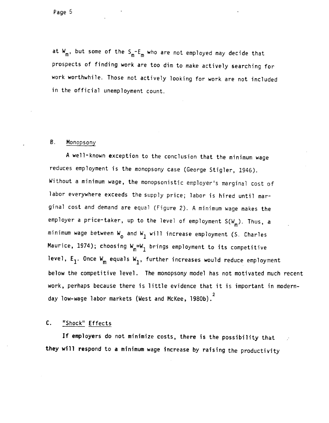

at  $W_m$ , but some of the  $S_m - E_m$  who are not employed may decide that prospects of finding work are too dim to make actively searching for work worthwhile. Those not actively looking for work are not included in the official unemployment count.

#### B. Monopsony

A well-known exception to the conclusion that the minimum wage reduces employment is the monopsony case (George Stigler, 1946). Without a minimum wage, the monopsonistjc employer's marginal cost of labor everywhere exceeds the supply price; labor is hired until marginal cost and demand are equal (Figure 2). A minimum wage makes the employer a price-taker, up to the level of employment  $S(W_m)$ . Thus, a minimum wage between  $W_{0}$  and  $W_{1}$  will increase employment (S. Charles Maurice, 1974); choosing  $W_m=W_1$  brings employment to its competitive level,  $E_1$ . Once  $W_m$  equals  $W_1$ , further increases would reduce employment below the competitive level. The monopsony model has not motivated much recent work, perhaps because there is little evidence that it is important in modern-2 day low-wage labor markets (West and McKee, 1980b).

### C. 'Shock" Effects

If employers do not minimize costs, there is the possibility that they will respond to a minimum wage increase by raising the productivity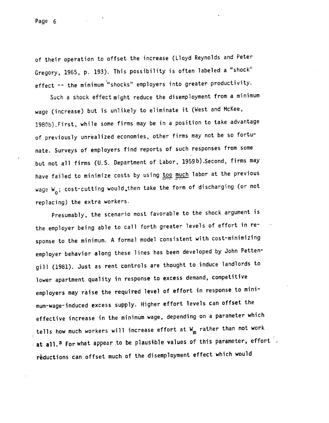of their operation to offset the increase (Lloyd Reynolds and Peter Gregory, 1965, p. 193). This possibility is often labeled a 'shock" effect  $-$  the minimum "shocks" employers into greater productivity.

Such a shock effect might reduce the disemployment from a minimum wage (increase) but is unlikely to eliminate it (West and McKee, 1980b).First, while some firms may be in a position to take advantage of previously unrealized economies, other firms may not be so fortunate. Surveys of employers find reports of such responses from some but not all firms (U.S. Department of Labor, 1959b).Second, firms may have failed to minimize costs by using too much labor at the previous wage  $W_{0}$ ; cost-cutting would, then take the form of discharging (or not replacing) the extra workers.

Presumably, the scenario most favorable to the shock argument is the employer being able to call forth greater levels of effort in response to the minimum. A formal model consistent with cost-minimizing employer behavior along these lines has been developed by John Petten gill (1981). Just as rent controls are thought to induce landlords to lower apartment quality in response to excess demand, competitive employers may raise the required level of effort in response to minimum-wage-induced excess supply. Higher effort levels can offset the effective increase in the minimum wage, depending on a parameter which tells how much workers will increase effort at  $W_m$  rather than not work at all.<sup>3</sup> For what appear to be plausible values of this parameter, effort reductions can offset much of the disemployment effect which would

Page 6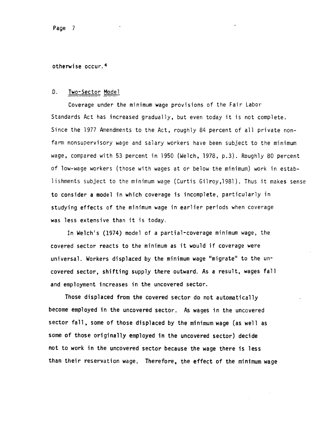Page 7

otherwise occur.4

#### D. Two-Sector Model

Coverage under the minimum wage provisions of the Fair Labor Standards Act has increased gradually, but even today it is not complete. Since the 1977 Amendments to the Act, roughly 84 percent of all private nonfarm nonsupervisory wage and salary workers have been subject to the minimum wage, compared with 53 percent in 1950 (Welch, 1978, p.3). Roughly 80 percent of low-wage workers (those with wages at or below the minimum) work in establishments subject to the minimum wage (Curtis Gilroy,1981). Thus it makes sense to consider a model in which coverage is incomplete, particularly in studying effects of the minimum wage in earlier periods when coverage was less extensive than it is today.

In Welch's (1974) model of a partial-coverage minimum wage, the covered sector reacts to the minimum as it would if coverage were universal. Workers displaced by the minimum wage "migrate" to the uncovered sector, shifting supply there outward. As a result, wages fall and employment increases in the uncovered sector.

Those displaced from the covered sector do not automatically become employed in the uncovered sector. As wages in the uncovered sector fall, some of those displaced by the minimum wage (as well as some of those originally employed in the uncovered sector) decide not to work in the uncovered sector because the wage there is less than their reservation wage. Therefore, the effect of the minimum wage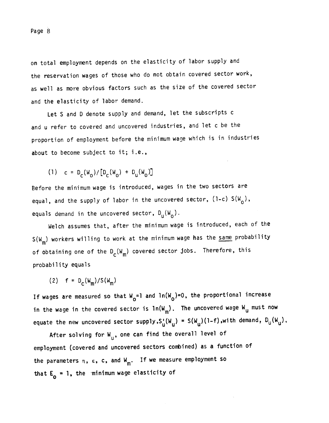on total employment depends on the elasticity of labor supply and the reservation wages of those who do not obtain covered sector work, as well as more obvious factors such as the size of the covered sector and the elasticity of labor demand.

Let S and D denote supply and demand, let the subscripts c and u refer to covered and uncovered industries, and let c be the proportion of employment before the minimum wage which is in industries about to become subject to it; i.e.,

(1) 
$$
c = D_c(W_0)/[D_c(W_0) + D_u(W_0)]
$$

Before the minimum wage is introduced, wages in the two sectors are equal, and the supply of labor in the uncovered sector,  $(1-c) S(W_0)$ , equals demand in the uncovered sector,  $D_{\sf u}(\tt W_o)$ .

Welch assumes that, after the minimum wage is introduced, each of the  $S(W_m)$  workers willing to work at the minimum wage has the same probability of obtaining one of the  $D_c(w_m)$  covered sector jobs. Therefore, this probability equals

(2)  $f = D_c(W_m)/S(W_m)$ 

If wages are measured so that  $W_0=1$  and  $ln(W_0)=0$ , the proportional increase in the wage in the covered sector is  $ln(W_m)$ . The uncovered wage W<sub>u</sub> must now equate the new uncovered sector supply,  $S_u^{\tau}(W_u) = S(W_u)(1-f)$ ,with demand,  $D_u(W_u)$ ,

After solving for  $W_{\textrm{U}}$ , one can find the overall level of employment (covered and uncovered sectors combined) as a function of the parameters  $n$ ,  $\varepsilon$ ,  $c$ , and  $W_m$ . If we measure employment so that  $E_0 = 1$ , the minimum wage elasticity of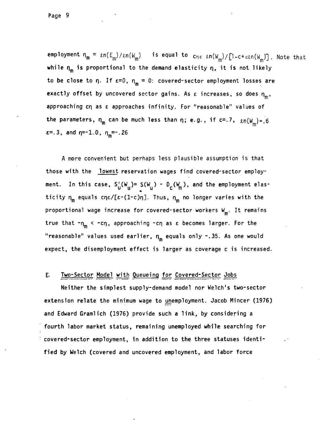employment  $\eta_m = \ln(E_m)/\ln(W_m)$  is equal to  $c_{n\epsilon}$  en(W<sub>m</sub>)/{l-c+ $\epsilon$ en(W<sub>m</sub>)]. Note that while  $\eta_m$  is proportional to the demand elasticity  $\eta$ , it is not likely to be close to  $\eta$ . If  $\varepsilon=0$ ,  $\eta_m = 0$ : covered-sector employment losses are exactly offset by uncovered sector gains. As  $\varepsilon$  increases, so does  $\eta_m$ , approaching  $cn$  as  $\epsilon$  approaches infinity. For "reasonable" values of the parameters,  $n_m$  can be much less than  $n$ ; e.g., if c=.7,  $\ln(w_m) = 6$  $\varepsilon$ =.3, and  $\eta$ =-1.0,  $\eta_m$ =-.26

A more convenient but perhaps less plausible assumption is that those with the lowest reservation wages find covered-sector employment. In this case,  $S_U(W_u) = S(W_u) - D_c(W_m)$ , and the employment elasticity  $n_m$  equals cn $\epsilon/[\epsilon-(1-c)\eta]$ . Thus,  $n_m$  no longer varies with the proportional wage increase for covered-sector workers  $W_{m}$ . It remains true that  $-n_m < -c\eta$ , approaching  $-c\eta$  as  $\varepsilon$  becomes larger. For the "reasonable" values used earlier,  $n_m$  equals only  $\sim$ .35. As one would expect, the disemployment effect is larger as coverage c is increased.

### E. Two-Sector Model with Queueing for Covered-Sector Jobs

Neither the simplest supply-demand model nor Welch's two-sector extension relate the minimum wage to unemployment. Jacob Mincer (1976) and Edward Gramlich (1976) provide such a link, by considering a fourth labor market status, remaining unemployed while searching for covered-sector employment, in addition to the three statuses identified by Welch (covered and uncovered employment, and labor force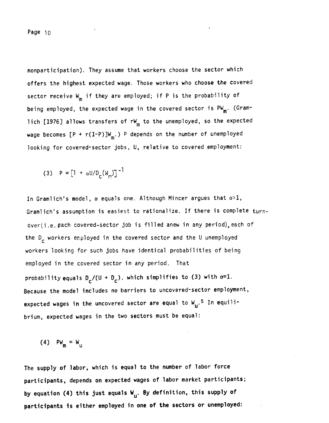nonparticipation). They assume that workers choose the sector which offers the highest expected wage. Those workers who choose the covered sector receive  $W_m$  if they are employed; if P is the probability of being employed, the expected wage in the covered sector is  $PW_m$ . (Gramlich [1976] allows transfers of  $rw_{m}$  to the unemployed, so the expected wage becomes  $[P + r(1-P)]W_m$ .) P depends on the number of unemployed looking for covered-sector jobs, U, relative to covered employment:

(3) 
$$
P = [1 + \alpha U/D_c(W_m)]^{-1}
$$

In Gramlich's model,  $\alpha$  equals one. Although Mincer argues that  $\alpha > 1$ , Gramlich's assumption is easiest to rationalize. If there is complete turnover(i.e. each covered-sector job is filled anew in any period), each of the  $D_{\rho}$  workers employed in the covered sector and the U unemployed workers looking for such jobs have identical probabilities of being employed in the covered sector in any period. That probability equals  $D_r/(U + D_c)$ , which simplifies to (3) with  $\alpha=1$ . Because the model includes no barriers to uncovered-sector employment, expected wages in the uncovered sector are equal to  $W_{\mathbf{u}}.5$  In equilibrium, expected wages in the two sectors must be equal:

(4)  $PW_m = W_u$ 

The supply of labor, which is equal to the number of labor force participants, depends on expected wages of labor market participants; by equation (4) this just equals  $W_{11}$ . By definition, this supply of participants is either employed in one of the sectors or unemployed: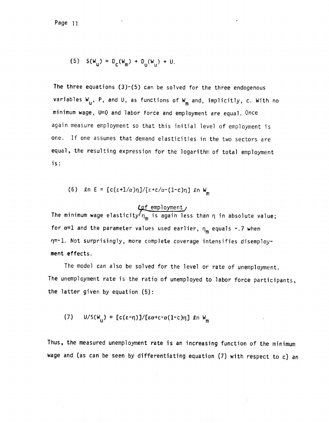Page ii

(5) 
$$
S(W_u) = D_c(W_m) + D_u(W_u) + U.
$$

The three equations  $(3)-(5)$  can be solved for the three endogenous variables  $W_{\text{u}}$ , P, and U, as functions of  $W_{\text{m}}$  and, implicitly, c. With no minimum wage, U=0 and labor force and employment are equal. Once again measure employment so that this initial level of employment is one. If one assumes that demand elasticities in the two sectors are equal, the resulting expression for the logarithm of total employment is:

(6) 
$$
\ln E = [c(\epsilon + 1/\alpha)\eta]/[\epsilon + c/\alpha - (1-c)\eta]
$$
  $\ln W_m$ 

f employment ine minimum wage elasticity n<sub>m</sub> is again less than n in absolute value; for  $\alpha=1$  and the parameter values used earlier,  $n_{\rm m}$  equals -.7 when rp-1. Not surprisingly, more complete coverage intensifies disemployment effects.

The model can also be solved for the level or rate of unemployment. The unemployment rate is the ratio of unemployed to labor force participants, the latter given by equation (5):

(7) 
$$
U/S(W_u) = [c(\epsilon-\eta)]/[c\alpha+c-\alpha(1-c)\eta]
$$
 *ln*  $W_m$ 

Thus, the measured unemployment rate is an increasing function of the minimum wage and (as can be seen by differentiating equation (7) with respect to c) an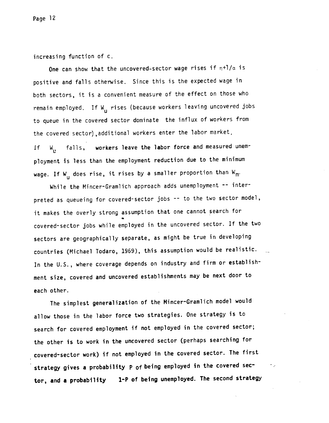increasing function of c.

One can show that the uncovered-sector wage rises if  $\eta+1/\alpha$  is positive and falls otherwise. Since this is the expected wage in both sectors, it is a convenient measure of the effect on those who remain employed. If W<sub>u</sub> rises (because workers leaving uncovered jobs to queue in the covered sector dominate the influx of workers from the covered sector),additional workers enter the labor market, If W<sub>1</sub>, falls, workers leave the labor force and measured unemployment is less than the employment reduction due to the minimum wage. If W<sub>u</sub> does rise, it rises by a smaller proportion than W<sub>m</sub>.

While the Mincer-Gramlich approach adds unemployment -- interpreted as queueing for covered-sector jobs -- to the two sector model, it makes the overly strong assumption that one cannot search for S covered-sector jobs while employed in the uncovered sector. If the two sectors are geographically separate, as might be true in developing countries (Michael Todaro, 1969), this assumption would be realistic. In the U.S., where coverage depends on industry and firm or establish ment size, covered and uncovered establishments may be next door to each other.

The simplest generalization of the Mincer-Gramlich model would allow those in the labor force two strategies. One strategy is to search for covered employment if not employed in the covered sector; the other is to work in the uncovered sector (perhaps searching for covered-sector work) if not employed in the covered sector. The first strategy gives a probability P of being employed in the covered sector, and a probability 1-P of being unemployed. The second strategy

٠,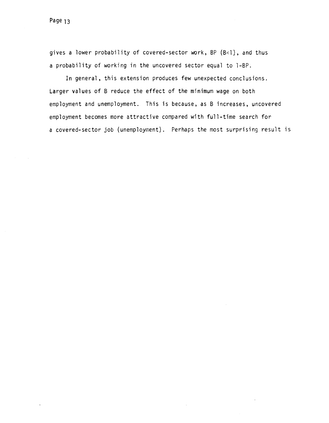gives a lower probability of covered-sector work, BP (B<I), and thus a probability of working in the uncovered sector equal to l-BP.

In general, this extension produces few unexpected conclusions. Larger values of B reduce the effect of the minimum wage on both employment and unemployment. This is because, as B increases, uncovered employment becomes more attractive compared with full-time search for a covered-sector job (unemployment). Perhaps the most surprising result is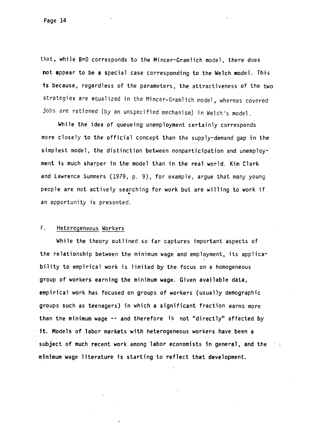Page 14

that, while 8=0 corresponds to the Mincer-Gramlich model, there does not appear to be a special case corresponding to the Welch model. This is because, regardless of the parameters, the attractiveness of the two strategies are equalized in the Mincer-Gramlich model, whereas covered jobs are rationed (by an unspecified mechanism) in Welch's model.

While the idea of queueing unemployment certainly corresponds more closely to the official concept than the supply-demand gap in the simplest model, the distinction between nonparticipation and unemployment is much sharper in the model than in the real world. Kim Clark and Lawrence Summers (1979, p. 9), for example, argue that many young people are not actively searching for work but are willing to work if an opportunity is presented.

### F. Heterogeneous Workers

While the theory outlined so far captures important aspects of the relationship between the minimum wage and employment, its applicability to empirical work is limited by the focus on a homogeneous group of workers earning the minimum wage. Given available data, empirical work has focused on groups of workers (usually demographic groups such as teenagers) in which a significant fraction earns more than the minimum wage -- and therefore is not "directly" affected by it. Models of labor markets with heterogeneous workers have been a subject of much recent work among labor economists in general, and the minimum wage literature is starting to reflect that development.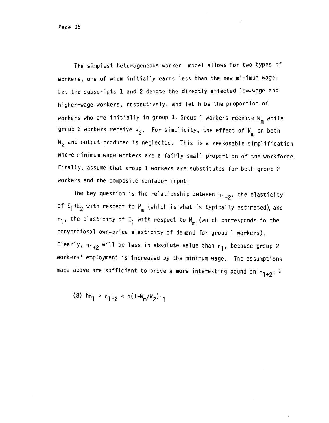The simplest heterogeneous-worker model allows for two types of workers, one of whom initially earns less than the new minimum wage. Let the subscripts 1 and 2 denote the directly affected low-wage and higher-wage workers, respectively, and let h be the proportion of workers who are initially in group 1. Group 1 workers receive  $W_m$  while group 2 workers receive  $W_2$ . For simplicity, the effect of  $W_m$  on both  $W_{\gamma}$  and output produced is neglected. This is a reasonable simplification where minimum wage workers are a fairly small proportion of the workforce. Finally, assume that group 1 workers are substitutes for both group 2 workers and the composite nonlabor input.

The key question is the relationship between  $n_{1+2}$ , the elasticity of  $E_1+E_2$  with respect to  $W_m$  (which is what is typically estimated), and  $n_1$ , the elasticity of E<sub>1</sub> with respect to W<sub>m</sub> (which corresponds to the conventional own-price elasticity of demand for group 1 workers). Clearly,  $n_{1+2}$  will be less in absolute value than  $n_1$ , because group 2 workers' employment is increased by the minimum wage. The assumptions made above are sufficient to prove a more interesting bound on  $\eta_{1+2}$ : 6

(8)  $\ln_{1}$  <  $n_{1+2}$  < h(1- $W_m/W_2$ ) $n_1$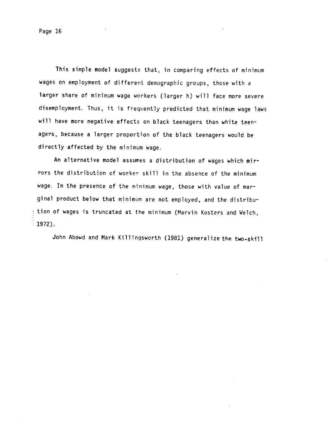This simple model suggests that, in comparing effects of minimum wages on employment of different demographic groups, those with a larger share of minimum wage workers (larger h) will face more severe disemployment. Thus, it is frequently predicted that minimum wage laws will have more negative effects on black teenagers than white teenagers, because a larger proportion of the black teenagers would be directly affected by the minimum wage.

An alternative model assumes a distribution of wages which mirrors the distribution of worker skill in the absence of the minimum wage. In the presence of the minimum wage, those with value of marginal product below that minimum are not employed, and the distribution of wages is truncated at the minimum (Marvin Kosters and Welch, 1972).

John Abowd and Mark Killingsworth (1981) generalize the two-skill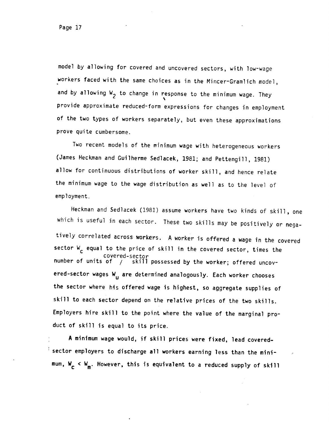model by allowing for covered and uncovered sectors, with low-wage workers faced with the same choices as in the Mincer-Gramlich model, and by allowing  $W_2$  to change in response to the minimum wage. They provide approximate reduced-form expressions for changes in employment of the two types of workers separately, but even these approximations prove quite cumbersome.

Two recent models of the minimum wage with heterogeneous workers (James Heckman and Guilherme Sedlacek, 1981; and Pettengill, 1981) allow for continuous distributions of worker skill, and hence relate the minimum wage to the wage distribution as well as to the level of employment.

Heckman and Sedlacek (1981) assume workers have two kinds of skill, one which is useful in each sector. These two skills may be positively or negatively correlated across workers. A worker is offered a wage in the covered sector  $W_c$  equal to the price of skill in the covered sector, times the covered-sector number of units of , skill possessed by the worker; offered uncovered-sector wages W<sub>11</sub> are determined analogously. Each worker chooses the sector where his offered wage is highest, so aggregate supplies of skill to each sector depend on the relative prices of the two skills. Employers hire skill to the point where the value of the marginal product of skill is equal to its price.

A minimum wage would, if skill prices were fixed, lead coveredsector employers to discharge all workers earning less than the minimum,  $W_c < W_m$ . However, this is equivalent to a reduced supply of skill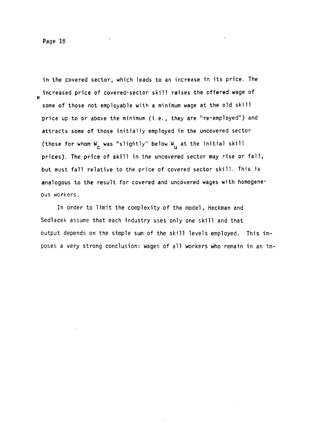in the covered sector, which leads to an increase in its price. The increased price of covered-sector skill raises the offered wage of some of those not employable with a minimum wage at the old skill price up to or above the minimum (i.e., they are "re-employed") and attracts some of those initially employed in the uncovered sector (those for whom  $W_{\text{c}}$  was "slightly" below  $W_{\text{u}}$  at the initial skill prices). The price of skill in the uncovered sector may rise or fall, but must fall relative to the price of covered sector skill. This is analogous to the result for covered and uncovered wages with homogeneous workers.

In order to limit the complexity of the model, Heckman and Sedlacek assume that each industry uses only one skill and that output depends on the simple sum of the skill levels employed. This imposes a very strong conclusion: wages of all workers who remain in an in—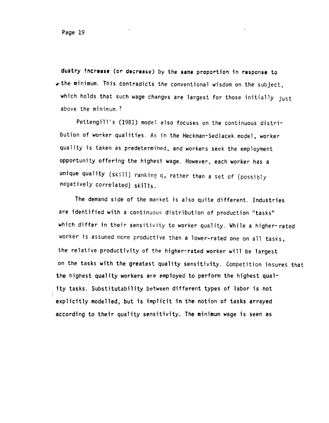dustry Increase (or decrease) by the same proportion in response to  $\star$  the minimum. This contradicts the conventional wisdom on the subject, which holds that such wage changes are largest for those initially just above the minimum.?

Pettengill's (1981) model also focuses on the continuous distribution of worker qualities. As in the Heckman-Sedlacek model, worker quality is taken as predetermined, and workers seek the employment opportunity offering the highest wage. However, each worker has a unique quality (skill) ranking q, rather than a set of (possibly negatively correlated) skills.

The demand side of the market is also quite different. Industries are identified with a continuous distribution of production "tasks" which differ in their sensitivity to worker quality. While a higher-rated worker is assumed more productive than a lower-rated one on all tasks, the relative productivity of the higher-rated worker will be largest on the tasks with the greatest quality sensitivity. Competition insures that the highest quality workers are employed to perform the highest quality tasks. Substitutability between different types of labor is not explicitly modelled, but is implicit in the notion of tasks arrayed according to their quality sensitivity. The minimum wage is seen as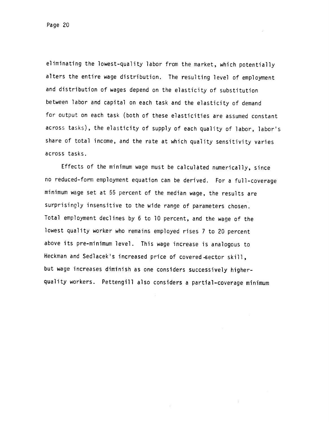eliminating the lowest-quality labor from the market, which potentially alters the entire wage distribution. The resulting level of employment and distribution of wages depend on the elasticity of substitution between labor and capital on each task and the elasticity of demand for output on each task (both of these elasticities are assumed constant across tasks), the elasticity of supply of each quality of labor, labor's share of total income, and the rate at which quality sensitivity varies across tasks.

Effects of the minimum wage must be calculated numerically, since no reduced-form employment equation can be derived. For a full—coverage minimum wage set at 55 percent of the median wage, the results are surprisingly insensitive to the wide range of parameters chosen. Total employment declines by 6 to 10 percent, and the wage of the lowest quality worker who remains employed rises 7 to 20 percent above its pre-minimum level. This wage increase is analogous to Heckman and Sedlacek's increased price of covered-sector skill, but wage increases diminish as one considers successively higher quality workers. Pettengill also considers a partial—coverage minimum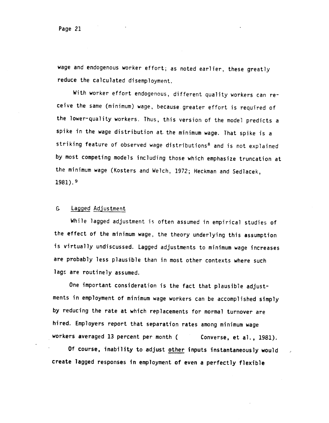wage and endogenous worker effort; as noted earlier, these greatly reduce the calculated disemployment.

With worker effort endogenous, different quality workers can receive the same (minimum) wage, because greater effort is required of the lower-quality workers. Thus, this version of the model predicts a spike in the wage distribution at. the minimum wage. That spike is a striking feature of observed wage distributions<sup>8</sup> and is not explained by most competing models including those which emphasize truncation at the minimum wage (Kosters and Welch, 1972; Hecknan and Sedlacek, 1981).

### G. Lagged Adjustment

While lagged adjustment is often assumed in empirical studies of the effect of the minimum wage, the theory underlying this assumption is virtually undiscussed. Lagged adjustments to minimum wage increases are probably less plausible than in most other contexts where such lags are routinely assumed.

One important consideration is the fact that plausible adjustments in employment of minimum wage workers can be accomplished simply by reducing the rate at which replacements for normal turnover are hired. Employers report that separation rates among minimum wage workers averaged 13 percent per month (Converse, et al., 1981).

Of course, inability to adjust other inputs instantaneously would create lagged responses in employment of even a perfectly flexible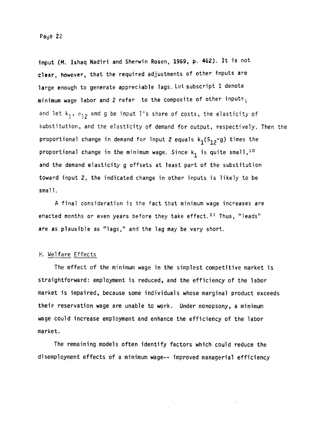input (M. Ishaq Nadiri and Sherwin Rosen, 1969, p. 462). It is not clear, however, that the required adjustments of other inputs are large enough to generate appreciable lags. Let subscript 1 denote minimum wage labor and 2 refer to the composite of other inputs. and let  $k_1$ ,  $\sigma_{12}$  and g be input l's share of costs, the elasticity of substitution, and the elasticity of demand for output, respectively. Then the proportional change in demand for input 2 equals  $k_1(S_{12}-g)$  times the proportional change in the minimum wage. Since  $k_1$  is quite small,  $^{10}$ and the demand elasticity g offsets at least part of the substitution toward input 2, the indicated change in other inputs is likely to be  $small.$ 

A final consideration is the fact that minimum wage increases are enacted months or even years before they take effect.<sup>11</sup> Thus, "leads" are as plausible as "lags," and the lag may be very short.

## H. Welfare Effects

The effect of the minimum wage in the simplest competitive market is straightforward: employment is reduced, and the efficiency of the labor market is impaired, because some individuals whose marginal product exceeds their reservation wage are unable to work. Under monopsony, a minimum wage could increase employment and enhance the efficiency of the labor market.

The remaining models often identify factors which could reduce the disemployment effects of a minimum wage-- improved managerial efficiency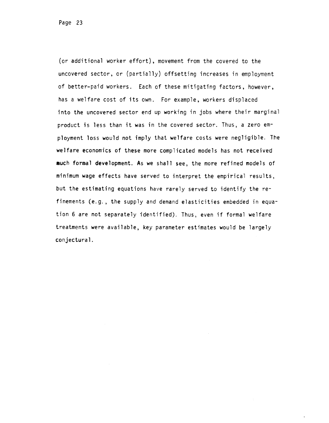(or additional worker effort), movement from the covered to the uncovered sector, or (partially) offsetting increases in employment of better-paid workers. Each of these mitigating factors, however, has a welfare cost of its own. For example, workers displaced into the uncovered sector end up working in jobs where their marginal product is less than it was in the covered sector. Thus, a zero employment loss would not imply that welfare costs were negligible. The welfare economics of these more complicated models has not received much formal development. As we shall see, the more refined models of minimum wage effects have served to interpret the empirical results, but the estimating equations have rarely served to identify the refinements (e.g. , the supply and demand elasticities embedded in equation 6 are not separately identified). Thus, even if formal welfare treatments were available, key parameter estimates would be largely conjectural.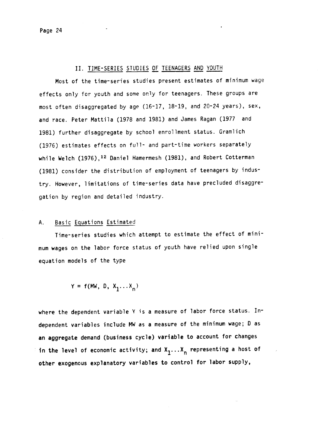#### II. TIME-SERiES STUDIES OF TEENAGERS AND YOUTH

Most of the time-series studies present estimates of minimum wage effects only for youth and some only for teenagers. These groups are most often disaggregated by age (16-17, 18-19, and 20-24 years), sex, and race. Peter Mattila (1978 and 1981) and James Ragan (1977 and 1981) further disaggregate by school enrollment status. Gramlich (1976) estimates effects on full- and part-time workers separately while Welch (1976),<sup>12</sup> Daniel Hamermesh (1981), and Robert Cotterman (1981) consider the distribution of employment of teenagers by industry. However, limitations of time-series data have precluded disaggre gation by region and detailed industry.

#### A. Basic Equations Estimated

Time-series studies which attempt to estimate the effect of minimum wages on the labor force status of youth have relied upon single equation models of the type

$$
Y = f(MW, D, X_1 \dots X_n)
$$

where the dependent variable Y is a measure of labor force status. Independent variables include MW as a measure of the minimum wage; 0 as an aggregate demand (business cycle) variable to account for changes in the level of economic activity; and  $X_1 \ldots X_n$  representing a host of other exogenous explanatory variables to control for labor supply,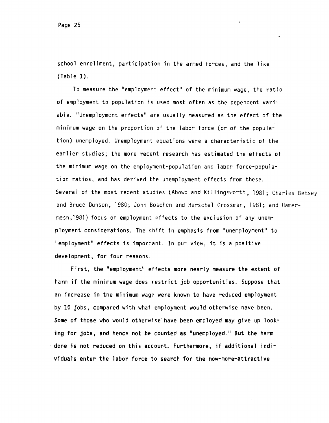school enrollment, participation in the armed forces, and the like (Table 1).

To measure the "employment effect" of the minimum wage, the ratio of employment to population is used most often as the dependent variable. "Unemployment effects" are usually measured as the effect of the minimum wage on the proportion of the labor force (or of the population) unemployed. Unemployment equations were a characteristic of the earlier studies; the more recent research has estimated the effects of the minimum wage on the employment-population and labor force-population ratios, and has derived the unemployment effects from these. Several of the most recent studies (Abowd and Killingsworth, 1981; Charles Betsey and Bruce Dunson, 1980; John Boschen and Herschel Grossman, 1981; and Hamermesh,198l) focus on employment effects to the exclusion of any unemployment considerations. The shift in emphasis from "unemployment" to "employment" effects is important. In our view, it is a positive development, for four reasons.

First, the "employment" effects more nearly measure the extent of harm if the minimum wage does restrict job opportunities. Suppose that an increase in the minimum wage were known to have reduced employment by 10 jobs, compared with what employment would otherwise have been. Some of those who would otherwise have been employed may give up looking for jobs, and hence not be counted as "unemployed." But the harm done is not reduced on this account. Furthermore, if additional individuals enter the labor force to search for the now-more-attractive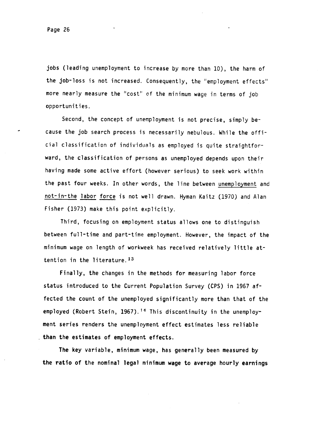jobs (leading unemployment to increase by more than 10), the harm of the job-loss is not increased. Consequently, the "employment effects" more nearly measure the "cost' of the minimum wage in terms of job opportunities.

Second, the concept of unemployment is not precise, simply because the job search process is necessarily nebulous. While the official classification of individuals as employed is quite straightforward, the classification of persons as unemployed depends upon their having made some active effort (however serious) to seek work within the past four weeks. In other words, the line between unemployment and not-in-the labor force is not well drawn. Hyman Kaitz (1970) and Alan Fisher (1973) make this point explicitly.

Third, focusing on employment status allows one to distinguish between full-time and part-time employment. However, the impact of the minimum wage on length of workweek has received relatively little attention in the literature.13

Finally, the changes in the methods for measuring labor force status introduced to the Current Population Survey (CPS) in 1967 affected the count of the unemployed significantly more than that of the employed (Robert Stein, 1967).<sup>14</sup> This discontinuity in the unemployment series renders the unemployment effect estimates less reliable than the estimates of employment effects.

The key variable, minimum wage, has generally been measured by the ratio of the nominal legal minimum wage to average hourly earnings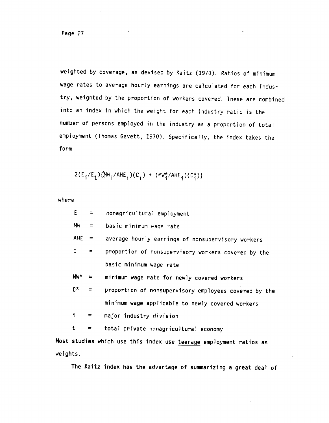weighted by coverage, as devised by Kaitz (1970). Ratios of minimum wage rates to average hourly earnings are calculated for each industry, weighted by the proportion of workers covered. These are combined into an index in which the weight for each industry ratio is the number of persons employed in the industry as a proportion of total employment (Thomas Gavett, 1970). Specifically, the index takes the form

$$
\Sigma(E_i/E_t)\{\text{(MW}_i/\text{AHE}_i)(C_i) + (\text{MW}_i^{\star}/\text{AHE}_i)(C_i^{\star})\}
$$

where

| E.           | $=$ $-$           | nonagricultural employment                            |
|--------------|-------------------|-------------------------------------------------------|
| MW           | $\equiv$ $\equiv$ | basic minimum wage rate                               |
| <b>AHE</b>   | $=$               | average hourly earnings of nonsupervisory workers     |
| $\mathsf{C}$ | $=$               | proportion of nonsupervisory workers covered by the   |
|              |                   | basic minimum wage rate                               |
| $MW^{\star}$ | $=$               | minimum wage rate for newly covered workers           |
| $C^{\star}$  | $=$               | proportion of nonsupervisory employees covered by the |
|              |                   | minimum wage applicable to newly covered workers      |
| $\mathbf{i}$ | $=$               | major industry division                               |
| t            | $\equiv$          | total private nonagricultural economy                 |

Most studies which use this index use teenage employment ratios as weights.

The Kaitz index has the advantage of summarizing a great deal of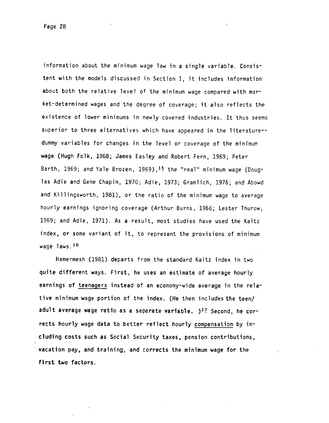information about the minimum wage law in a single variable. Consistent with the models discussed in Section I, it includes information about both the relative level of the minimum wage compared with market-determined wages and the degree of coverage; it also reflects the existence of lower minimums in newly covered industries. It thus seems superior to three alternatives which have appeared in the literature-dummy variables for changes in the level or coverage of the minimum wage (Hugh Folk, 1968; James Easley and Robert Fern, 1969; Peter Barth, 1969; and Yale Brozen, 1969),<sup>15</sup> the "real" minimum wage (Douglas Adie and Gene Chapin, 1970; Adie, 1973; Gramlich, 1976; and Abowd and Killingsworth, 1981), or the ratio of the minimum wage to average hourly earnings ignoring coverage (Arthur Burns, 1966; Lester Thurow, 1969; and Adie, 1971). As a result, most studies have used the Kaitz index, or some variant of it, to represent the provisions of minimum wage laws.<sup>16</sup>

Hamermesh (1981) departs from the standard Kaitz index in two quite different ways. First, he uses an estimate of average hourly earnings of teenagers instead of an economy-wide average in the relative minimum wage portion of the index. (He then includes the teen/ adult average wage ratio as a separate variable. )<sup>1?</sup> Second, he corrects hourly wage data to better reflect hourly compensation by including costs such as Social Security taxes, pension contributions, vacation pay, and training, and corrects the minimum wage for the first two factors.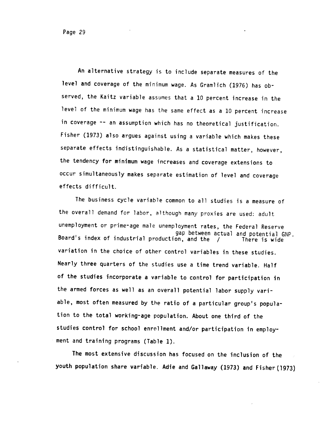An alternative strategy is to include separate measures of the level and coverage of the minimum wage. As Gramlich (1976) has observed, the Kaitz variable assumes that a 10 percent increase in the level of the minimum wage has the same effect as a 10 percent increase in coverage -- an assumption which has no theoretical justification. Fisher (1973) also argues against using a variable which makes these separate effects indistinguishable. As a statistical matter, however, the tendency for minimum wage increases and coverage extensions to occur simultaneously makes separate estimation of level and coverage effects difficult.

The business cycle variable common to all studies is a measure of the overall demand for labor, although many proxies are used: adult unemployment or prime-age male unemployment rates, the Federal Reserve gap between actual and potential GNP. Board's index of industrial production, and the / There is wide variation in the choice of other control variables in these studies. Nearly three quarters of the studies use a time trend variable. Half of the studies incorporate a variable to control for participation in the armed forces as well as an overall potential labor supply variable, most often measured by the ratio of a particular group's population to the total working-age population. About one third of the studies control for school enrollment and/or participation in employment and training programs (Table 1).

The most extensive discussion has focused on the inclusion of the youth population share variable. Adie and Gallaway (1973) and Fisher(1973)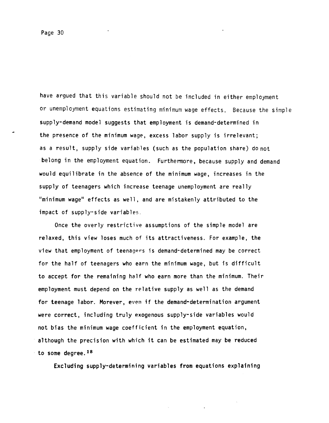have argued that this variable should not be included in either employment or unemployment equations estimating minimum wage effects. Because the simple supply-demand model suggests that employment is demand-determined in the presence of the minimum wage, excess labor supply is irrelevant; as a result, supply side variables (such as the population share) do not belong in the employment equation. Furthermore, because supply and demand would equilibrate in the absence of the minimum wage, increases in the supply of teenagers which increase teenage unemployment are really "minimum wage" effects as well, and are mistakenly attributed to the impact of supply-side variables.

Once the overly restrictive assumptions of the simple model are relaxed, this view loses much of its attractiveness. For example, the view that employment of teenagers is demand-determined may be correct for the half of teenagers who earn the minimum wage, but is difficult to accept for the remaining half who earn more than the minimum. Their employment must depend on the relative supply as well as the demand for teenage labor. Morever, even if the demand-determination argument were correct, including truly exogenous supply-side variables would not bias the minimum wage coefficient in the employment equation, although the precision with which it can be estimated may be reduced  $\pm$  to some degree.<sup>18</sup>

Excluding supply-determining variables from equations explaining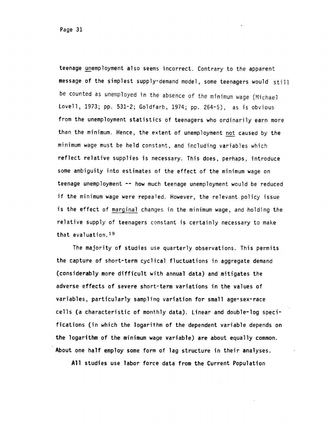teenage unemployment also seems incorrect. Contrary to the apparent message of the simplest supply-demand model, some teenagers would still be counted as unemployed in the absence of the minimum wage (Michael Lovell, 1973; pp. 531—2; Goldfarb, 1974; pp. 264-5), as is obvious from the unemployment statistics of teenagers who ordinarily earn more than the minimum. Hence, the extent of unemployment not caused by the minimum wage must be held constant, and including variables which reflect relative supplies is necessary. This does, perhaps, introduce some ambiguity into estimates of the effect of the minimum wage on teenage unemployment -- how much teenage unemployment would be reduced if the minimum wage were repealed. However, the relevant policy issue is the effect of marginal changes in the minimum wage, and holding the relative supply of teenagers constant is certainly necessary to make that evaluation.19

The majority of studies use quarterly observations. This permits the capture of short-term cyclical fluctuations in aggregate demand (considerably more difficult with annual data) and mitigates the adverse effects of severe short-term variations in the values of variables, particularly sampling variation for small age-sex-race cells (a characteristic of monthly data). Linear and double-log specifications (in which the logarithm of the dependent variable depends on the logarithm of the minimum wage variable) are about equally common. About one half employ some form of lag structure in their analyses.

All studies use labor force data from the Current Population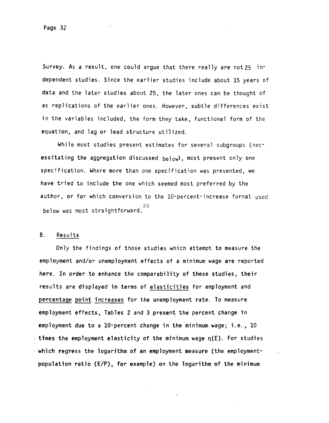Survey. As a result, one could argue that there really are not 25 independent studies. Since the earlier studies include about 15 years of data and the later studies about 25, the later ones can be thought of as replications of the earlier ones. However, subtle differences exist in the variables included, the form they take, functional form of the equation, and lag or lead structure utilized.

While most studies present estimates for several subgroups (necessitating the aggregation discussed  $be1ow$ ), most present only one specification. Where more than one specification was presented, we have tried to include the one which seemed most preferred by the author, or for which conversion to the 10-percent-increase format used 20 below was most straightforward.

### B. Results

Only the findings of those studies which attempt to measure the employment and/or unemployment effects of a minimum wage are reported here. In order to enhance the comparability of these studies, their results are displayed in terms of elasticities for employment and percentage point increases for the unemployment rate. To measure employment effects, Tables 2 and 3 present the percent change in employment due to a 10-percent change in the minimum wage; i.e., 10  $\cdot$  times the employment elasticity of the minimum wage  $\eta(E)$ . For studies which regress the logarithm of an employment measure (the employmentpopulation ratio (E/P), for example) on the logarithm of the minimum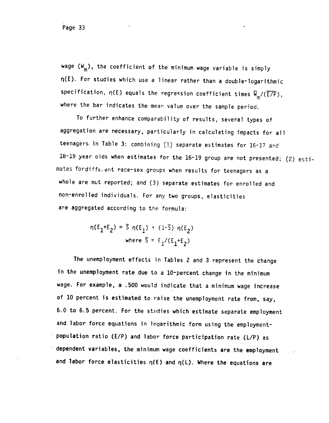wage  $(W_m)$ , the coefficient of the minimum wage variable is simply q(E). For studies which use a linear rather than a double-logarithmic specification,  $\eta(E)$  equals the regression coefficient times  $\overline{W}_{m}/(\overline{E/P})$ , where the bar indicates the mean value over the sample period.

To further enhance comparability of results, several types of aggregation are necessary, particularly in calculating impacts for all teenagers in Table 3: combining (1) separate estimates for 16-17 and 18-19 year olds when estimates for the 16-19 group are not presented; (2) esti $mates$  fordifferent race-sex groups when results for teenagers as a whole are not reported; and (3) separate estimates for enrolled and non-enrolled individuals. For any two groups, elasticities are aggregated according to the formula:

> $\eta(E_1+E_2) = \overline{S} \eta(E_1) + (1-\overline{S}) \eta(E_2)$ where S =  $E_1/(E_1+E_2)$

The unemployment effects in Tables 2 and 3 represent the change in the unemployment rate due to a 10-percent change in the minimum wage. For example, a .500 would indicate that a minimum wage increase of 10 percent is estimated to raise the unemployment rate from, say, 6.0 to 6.5 percent. For the studies which estimate separate employment and labor force equations in logarithmic form using the employment population ratio (E/P) and labor force participation rate ( $L/P$ ) as dependent variables, the minimum wage coefficients are the employment and labor force elasticities  $\eta(E)$  and  $\eta(L)$ . Where the equations are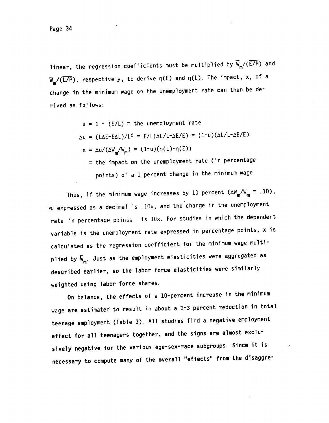linear, the regression coefficients must be multiplied by  $\overline{W}_{m}/(\overline{E/P})$  and  $\overline{W}_{m}/(\overline{L/P})$ , respectively, to derive  $\eta(E)$  and  $\eta(L)$ . The impact, x, of a change in the minimum wage on the unemployment rate can then be derived as follows:

$$
u = 1 - (E/L) = the unemptyment rate
$$
\n
$$
\Delta u = (L\Delta E - E\Delta L)/L^2 = E/L(\Delta L/L - \Delta E/E) = (1-u)(\Delta L/L - \Delta E/E)
$$
\n
$$
x = \Delta u/(\Delta W_m/W_m) = (1-u)(\eta(L) - \eta(E))
$$
\n
$$
= the impact on the unemptyment rate (in percentage points) of a 1 percent change in the minimum wage
$$

Thus, if the minimum wage increases by 10 percent  $(\Delta W_m/W_m = .10)$ ,  $\Delta$ J expressed as a decimal is .10x, and the change in the unemployment rate in percentage points is lOx. For studies in which the dependent variable is the unemployment rate expressed in percentage points, x is calculated as the regression coefficient for the minimum wage multiplied by  $\overline{w}_{m}$ . Just as the employment elasticities were aggregated as described earlier, so the labor force elasticities were similarly weighted using labor force shares.

On balance, the effects of a 10-percent increase in the minimum wage are estimated to result in about a 1-3 percent reduction in total teenage employment (Table 3). All studies find a negative employment effect for all teenagers together, and the signs are almost exclu sively negative for the various age-sex-race subgroups. Since it is necessary to compute many of the overall "effects" from the disaggre-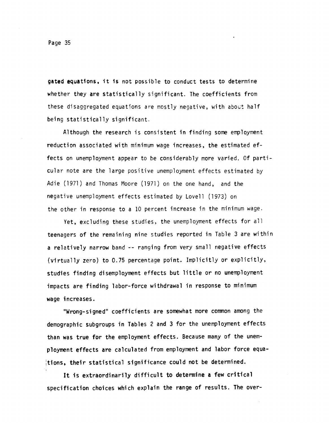Page 35

gated equations, it is not possible to conduct tests to determine whether they are statistically significant. The coefficients from these disaggregated equations are mostly negative, with about half being statistically significant.

Although the research is consistent in finding some employment reduction associated with minimum wage increases, the estimated effects on unemployment appear to be considerably more varied. Of particular note are the large positive unemployment effects estimated by Adie (1971) and Thomas Moore (1971) on the one hand, and the negative unemployment effects estimated by Lovell (1973) on the other in response to a 10 percent increase in the minimum wage.

Yet, excluding these studies, the unemployment effects for all teenagers of the remaining nine studies reported in Table 3 are within a relatively narrow band -- ranging from very small negative effects (virtually zero) to 0.75 percentage point. Implicitly or explicitly, studies finding disemployment effects but little or no unemployment impacts are finding labor-force withdrawal in response to minimum wage increases.

"Wrong-signed" coefficients are somewhat more common among the demographic subgroups in Tables 2 and 3 for the unemployment effects than was true for the employment effects. Because many of the unemployment effects are calculated from employment and labor force equattons, their statistical significance could not be determined.

It is extraordinarily difficult to determine a few critical specification choices which explain the range of results. The over-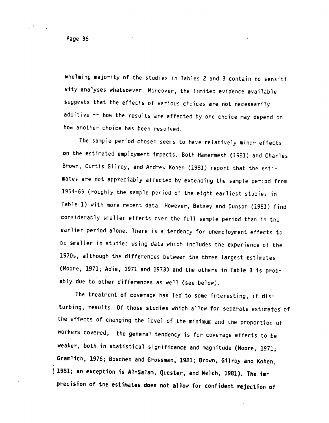whelming majority of the studies in Tables 2 and 3 contain no sensitivity analyses whatsoever. Moreover, the limited evidence available suggests that the effects of various choices are not necessarily additive -- how the results are affected by one choice may depend on how another choice has been resolved.

The sample period chosen seems to have relatively minor effects on the estimated employment impacts. Both Hamermesh (1981) and Charles Brown, Curtis Gilroy, and Andrew Kohen (1981) report that the estimates are not appreciably affected by extending the sample period from 1954-69 (roughly the sample period of the eight earliest studies in Table 1) with more recent data. However, Betsey and Dunson (1981) find considerably smaller effects over the full sample period than in the earlier period alone. There is a tendency for unemployment effects to be smaller in studies using data which includes the experience of the 1970s, although the differences between the three largest estimates (Moore, 1971; Adie, 1971 and 1973) and the others in Table 3 is probably due to other differences as well (see below).

The treatment of coverage has led to some interesting, if disturbing, results. Of those studies which allow for separate estimates of the effects of changing the level of the minimum and the proportion of workers covered, the general tendency is for coverage effects to be weaker, both in statistical significance and magnitude (Moore, 1971; Gramlich, 1976; Boschen and Grossman, 1981; Brown, Gilroy and Kohen, 1981; an exception is Al-Salam, Quester, and Welch, 1981). The mprecision of the estimates does not allow for confident rejection of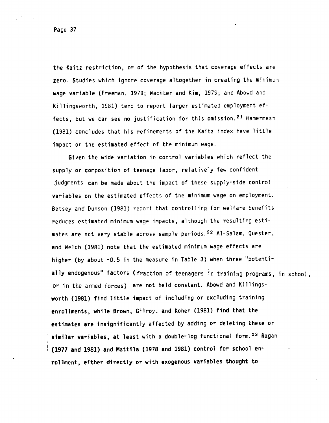the Kaitz restriction, or of the hypothesis that coverage effects are zero. Studies which ignore coverage altogether in creating the minimum wage variable (Freeman, 1979; Wachter and Kim, 1979; and Abowd and Killingsworth, 1981) tend to report larger estimated employment effects, but we can see no justification for this omission.<sup>21</sup> Hamermesh (1981) concludes that his refinements of the Kaitz index have little impact on the estimated effect of the minimum wage.

Given the wide variation in control variables which reflect the supply or composition of teenage labor, relatively few confident judgments can be made about the impact of these supply-side control variables on the estimated effects of the minimum wage on employment. Betsey and Dunson (1981) report that controlling for welfare benefits reduces estimated minimum wage impacts, although the resulting estimates are not very stable across sample periods.<sup>22</sup> Al-Salam, Quester, and Welch (1981) note that the estimated minimum wage effects are higher (by about -0.5 in the measure in Table 3) when three "potentially endogenous" factors (fraction of teenagers in training programs, in school, or in the armed forces) are not held constant. Abowd and Killingsworth (1981) find little impact of including or excluding training enrollments, while Brown, Gilroy, and Kohen (1981) find that the estimates are insignificantly affected by adding or deleting these or similar variables, at least with a double-log functional form.<sup>23</sup> Ragan (1977 and 1981) and Mattila (1978 and 1981) control for school enrollment, either directly or with exogenous variables thought to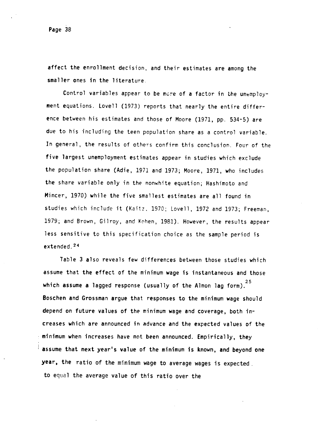Page 38

affect the enrollment decision, and their estimates are among the smaller ones in the literature.

Control variables appear to be more of a factor in the unemployment equations. Lovell (1973) reports that nearly the entire difference between his estimates and those of Moore (1971, pp. 534-5) are due to his including the teen population share as a control variable. In general, the results of others confirm this conclusion. Four of the five largest unemployment estimates appear in studies which exclude the population share (Adie, 1971 and 1973; Moore, 1971, who includes the share variable only in the nonwhite equation; Hashimoto and Mincer, 1970) while the five smallest estimates are all found in studies which include it (Kaitz. 1970; Lovell, 1972 and 1973; Freeman, 1979; and Brown, Gilroy, and Kohen, 1981). However, the results appear less sensitive to this specification choice as the sample period is extended. 24

Table 3 also reveals few differences between those studies which assume that the effect of the minimum wage is instantaneous and those which assume a lagged response (usually of the Almon lag form). $25$ Soschen and Grossman argue that responses to the minimum wage should depend on future values of the minimum wage and coverage, both increases which are announced in advance and the expected values of the minimum when increases have not been announced. Empirically, they assume that next year's value of the minimum is known, and beyond one year, the ratio of the minimum wage to average wages is expected. to equal the average value of this ratio over the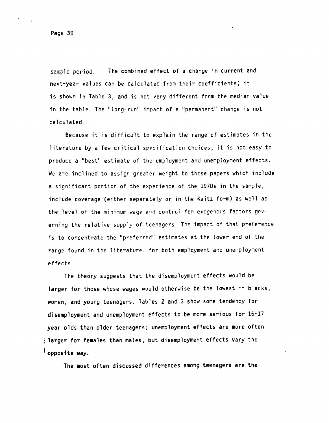sample period. The combined effect of a change in current and next—year values can be calculated from their coefficients; it is shown in Table 3, and is not very different from the median value in the table. The "long-run" impact of a "permanent" change is not calculated.

Because it is difficult to explain the range of estimates in the literature by a few critical specification choices, it is not easy to produce a "best' estimate of the employment and unemployment effects. We are inclined to assign greater weight to those papers which include a significant portion of the experience of the 1970s in the sample, include coverage (either separately or in the Kaitz form) as well as the level of the minimum wage and control for exogenous factors  $gov$ erning the relative supply of teenagers. The impact of that preference is to concentrate the "preferred" estimates at the lower end of the range found in the literature, for both employment and unemployment effects.

The theory suggests that the disemployment effects would be larger for those whose wages would otherwise be the lowest -- blacks, women, and young teenagers. Tables 2 and 3 show some tendency for disemployment and unemployment effects to be more serious for 16-17 year olds than older teenagers; unemployment effects are more often larger for females than males, but disemployment effects vary the  $\overline{a}$  opposite way.

The most often discussed differences among teenagers are the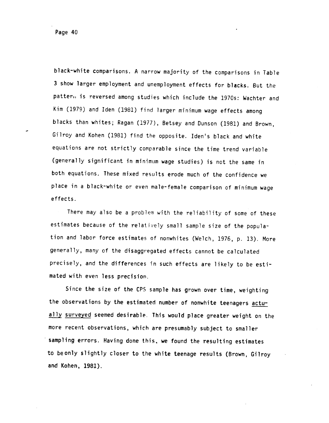black—white comparisons. A narrow majority of the comparisons in Table 3 show larger employment and unemployment effects for blacks. But the pattern is reversed among studies which include the 1970s: Wachter and Kim (1979) and Iden (1981) find larger minimum wage effects among blacks than whites; Ragan (1977), Betsey and Dunson (1981) and Brown, Gilroy and Kohen (1981) find the opposite. Ideri's black and white equations are not strictly comparable since the time trend variable (generally significant in minimum wage studies) is not the same in both equations. These mixed results erode much of the confidence we place in a black-white or even male-female comparison of minimum wage effects.

There may also be a problem with the reliability of some of these estimates because of the relatively small sample size of the population and labor force estimates of nonwhites (Welch, 1976, p. 13). More generally, many of the disaggregated effects cannot be calculated precisely, and the differences in such effects are likely to be estimated with even less precision.

Since the size of the CPS sample has grown over time, weighting the observations by the estimated number of nonwhite teenagers actually surveyed seemed desirable. This would place greater weight on the more recent observations, which are presumably subject to smaller sampling errors. Having done this, we found the resulting estimates to beonly slightly closer to the white teenage results (Brown, Gilroy and Kohen, 1981).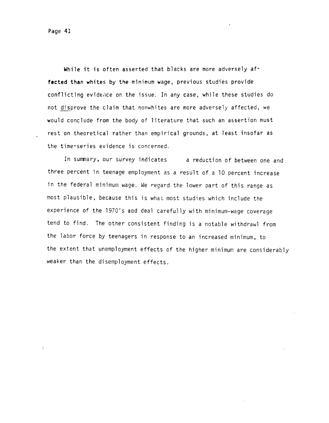Page 41

While it is often asserted that blacks are more adversely affected than whites by the minimum wage, previous studies provide conflicting evidence on the issue. In any case, while these studies do not disprove the claim that nonwhites are more adversely affected, we would conclude from the body of literature that such an assertion must rest on theoretical rather than empirical grounds, at least insofar as the time-series evidence is concerned.

In summary, our survey indicates a reduction of between one and three percent in teenage employment as a result of a 10 percent increase in the federal minimum wage. We regard the lower part of this range as most plausible, because this is what most studies which include the experience of the 1970's and deal carefully with minimum-wage coverage tend to find. The other consistent finding is a notable withdrawl from the labor force by teenagers in response to an increased minimum, to the extent that unemployment effects of the higher minimum are considerably weaker than the disemployment effects.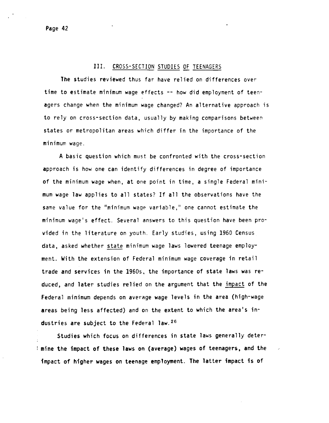#### III. CROSS-SECTION STUDIES OF TEENAGERS

-

The studies reviewed thus far have relied on differences over time to estimate minimum wage effects -- how did employment of teenagers change when the minimum wage changed? An alternative approach is to rely on cross-section data, usually by making comparisons between states or metropolitan areas which differ in the importance of the minimum wage.

A basic question which must. be confronted with the cross-section approach is how one can identify differences in degree of importance of the minimum wage when, at one point in time, a single Federal minimum wage law applies to all states? If all the observations have the same value for the "minimum wage variable," one cannot estimate the minimum wage's effect. Several answers to this question have been provided in the literature on youth. Early studies, using 1960 Census data, asked whether state minimum wage laws lowered teenage employment. With the extension of Federal minimum wage coverage in retail trade and services in the 1960s, the importance of state laws was reduced, and later studies relied on the argument that the impact of the Federal minimum depends on average wage levels in the area (high-wage areas being less affected) and on the extent to which the area's industries are subject to the Federal law. 26

Studies which focus on differences in state laws generally determine the impact of these laws on (average) wages of teenagers, and the Impact of higher wages on teenage employment. The latter impact Is of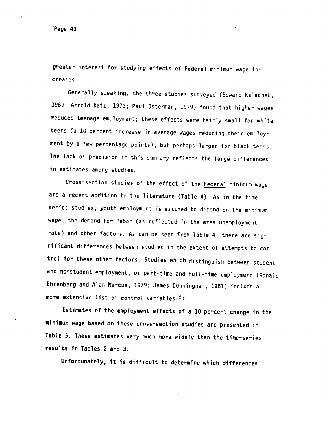'Page 43

greater interest for studying effects of Federal minimum wage increases.

Generally speaking, the three studies surveyed (Edward Kalachek, 1969; Arnold Katz, 1973; Paul Osterman, 1979) found that higher wages reduced teenage employment; these effects were fairly small for white teens (a 10 percent increase in average wages reducing their employment by a few percentage points), but perhaps larger for black teens. The lack of precision in this summary reflects the large differences in estimates among studies.

Cross-section studies of the effect of the Federal minimum wage are a recent addition to the literature (Table 4). As in the timeseries studies, youth employment is assumed to depend on the minimum wage, the demand for labor (as reflected in the area unemployment rate) and other factors. As can be seen from Table 4, there are significant differences between studies in the extent of attempts to control for these other factors. Studies which distinguish between student and nonstudent employment, or part-time and full-time employment (Ronald Ehrenberg and Alan Marcus, 1979; James Cunningham, 1981) include a more extensive list of control variables.<sup>27</sup>

Estimates of the employment effects of a 10 percent change in the minimum wage based on these cross-section studies are presented in Table 5. These estimates vary much more widely than the time-series • results in Tables 2 and 3.

Unfortunately, it is difficult to determine which differences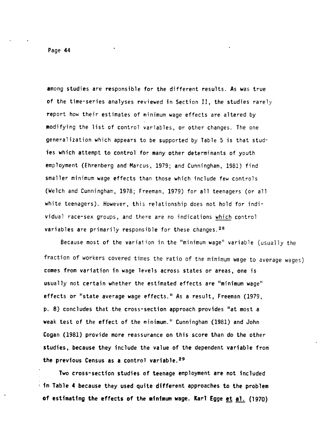Page 44

among studies are responsible for the different results. As was true of the time-series analyses reviewed in Section II, the studies rarely report how their estimates of minimum wage effects are altered by modifying the list of control variables, or other changes. The one generalization which appears to be supported by Table 5 is that studies which attempt to control for many other determinants of youth employment (Ehrenberg and Marcus, 1979; and Cunningham, 1981) find smaller minimum wage effects than those which include few controls (Welch and Cunningham, 1978; Freeman, 1979) for all teenagers (or all white teenagers). However, this relationship does not hold for individual race-sex groups, and there are no indications which control variables are primarily responsible for these changes.<sup>28</sup>

Because most of the variation in the 'minimum wage' variable (usually the fraction of workers covered times the ratio of the minimum wage to average wages) comes from variation in wage levels across states or areas, one is usually not certain whether the estimated effects are "minimum wage" effects or "state average wage effects." As a result, Freeman (1979, p. 8) concludes that the cross-section approach provides "at most a weak test of the effect of the minimum." Cunningham (1981) and John Cogan (1981) provide more reassurance on this score than do the other studies, because they include the value of the dependent variable from the previous Census as a control variable.<sup>29</sup>

Two cross-section studies of teenage employment are not included  $\pm$  in Table 4 because they used quite different approaches to the problem of estimating the effects of the minimum wage. Karl Egge et al. (1970)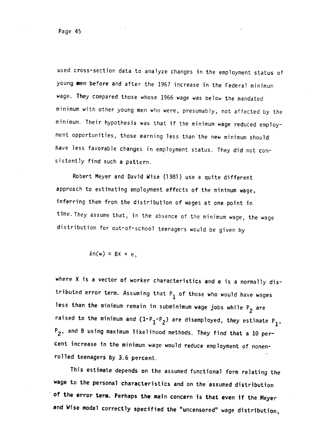used cross-section data to analyze changes in the employment status of young men before and after the 1967 increase in the Federal minimum wage. They compared those whose 1966 wage was below the mandated minimum with other young men who were, presumably, not affected by the minimum, Their hypothesis was that if the minimum wage reduced employment opportunities, those earning less than the new minimum should have less favorable changes in employment status. They did not consistently find such a pattern.

Robert Meyer and David Wise (1981) use a quite different approach to estimating employment effects of the minimum wage, inferring them from the distribution of wages at one point in time, They assume that, in the absence of the minimum wage, the wage distribution for out—of-school teenagers would be given by

$$
ln(w) = BX + e,
$$

where X is a vector of worker characteristics and e is a normally distributed error term. Assuming that  $P_1$  of those who would have wages less than the minimum remain in subminimum wage jobs while  $P_2$  are raised to the minimum and  $(1-P_1-P_2)$  are disemployed, they estimate  $P_1$ ,  $P_2$ , and B using maximum likelihood methods. They find that a  $10$  percent increase in the minimum waqe would reduce employment of nonenrolled teenagers by 3.6 percent.

This estimate depends on t.he assumed functional form relating the wage to the personal characteristics and on the assumed distribution of the error term. Perhaps the main concern is that even if the Meyer and Wise model correctly specified the "uncensored" wage distribution,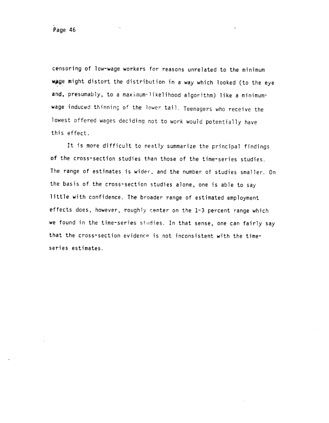censoring of low-wage workers for reasons unrelated to the minimum wage might distort the distribution in a way which looked (to the eye and, presumably, to a maximum-likelihood algorithm) like a minimumwage induced thinning of the 'ower tail. Teenagers who receive the lowest offered wages deciding not to work would potentially have this effect.

It is more difficult to neatly summarize the principal findings of the cross-section studies than those of the time-series studies. The range of estimates is wider, and the number of studies smaller. On the basis of the cross-section studies alone, one is able to say little with confidence. The broader range of estimated employment effects does, however, roughly center on the 1-3 percent range which we found in the time-series studies. In that sense, one can fairly say that the cross-section evidence is not inconsistent with the timeseries estimates.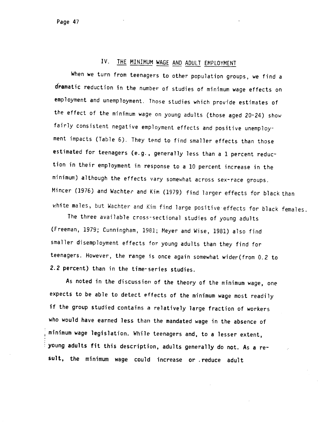# IV. THE MINIMUM WAGE AND ADULT EMPLOYMENT

When we turn from teenagers to other population groups, we find a dramatic reduction in the number of studies of minimum wage effects on employment and unemployment, Those studies which provide estimates of the effect of the minimum wage on young adults (those aged 20-24) show fairly consistent negative employment effects and positive unemployment impacts (Table 6). They tend to find smaller effects than those estimated for teenagers (e.g., generally less than a 1 percent reduction in their employment in response to a 10 percent increase in the minimum) although the effects vary somewhat across sex-race groups. Mincer (1976) and Wachtec and Kim (1979) find larger effects for black than white males, but Wachter and Kim find large positive effects for black females.

The three available cross-sectional studies of young adults (Freeman, 1979; Cunningham, 1981; Meyer and Wise, 1981) also find smaller disemployment effects for young adults than they find for teenagers. However, the range is once again somewhat wider(from 0.2 to 2.2 percent) than in the time-series studies.

As noted in the discussion of the theory of the minimum wage, one expects to be able to detect effects of the minimum wage most readily if the group studied contains a relatively large fraction of workers who would have earned less than the mandated wage in the absence of minimum wage legislation. While teenagers and, to a lesser extent, young adults fit this description, adults generally do not. As a re sult, the minimum wage could increase or reduce adult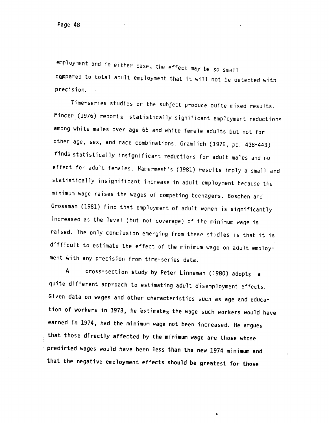employment and in either case, the effect may be so small compared to total adult employment that it will not be detected with precision.

Time-series studies on the subject produce quite mixed results. Mincer (1976) reports statistically significant employment reductions among white males over age 65 and white female adults but not for other age, sex, and race combinations. Gramlich (1976, pp. 438-443) finds statistically insignificant reductions for adult males and no effect for adult females. Hamermesh's (1981) results imply a small and statistically insignificant increase in adult employment because the minimum wage raises the wages of competing teenagers. Boschen and Grossman (1981) find that employment of adult women is significantly increased as the level (but not coverage) of the minimum wage is raised. The only conclusion emerging from these studies is that it is difficult to estimate the effect of the minimum wage on adult employment with any precision from time-series data.

<sup>A</sup> cross-section Study by Peter Linneman (1980) adopts <sup>a</sup> quite different approach to estimating adult disemployment effects. Given data on wages and other characteristics such as age and education of workers in 1973, he estimates the wage such workers would have earned in 1974, had the minimum wage not been increased. He argues that those directly affected by the minimum wage are those whose predicted wages would have been less than the new 1974 minimum and that the negative employment effects should be greatest for those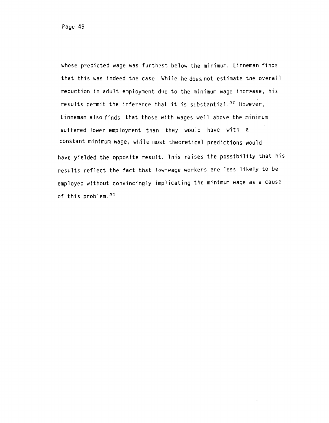whose predicted wage was furthest below the minimum. Linneman finds that this was indeed the case. While he does not estimate the overall reduction in adult employment due to the minimum wage increase, his results permit the inference that it is substantial.<sup>30</sup> However, Linneman also finds that those with wages well above the minimum suffered lower employment than they would have with a constant minimum wage, while most theoretical predictions would have yielded the opposite result. This raises the possibility that his results reflect the fact that low-wage workers are less likely to be employed without convincingly implicating the minimum wage as a cause of this problem.31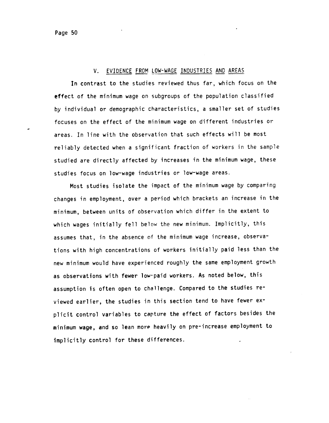### V. EVIDENCE FROM LOW-WAGE INDUSTRIES AND AREAS

In contrast to the studies reviewed thus far, which focus on the effect of the minimum wage on subgroups of the population classified by individual or demographic characteristics, a smaller set of studies focuses on the effect of the minimum wage on different industries or areas. In line with the observation that such effects will be most reliably detected when a significant fraction of workers in the sample studied are directly affected by increases in the minimum wage, these studies focus on low-wage industries or low-wage areas.

Most studies isolate the impact of the minimum wage by comparing changes in employment, over a period which brackets an increase in the minimum, between units of observation which differ in the extent to which wages initially fell below the new minimum. Implicitly, this assumes that, in the absence of the minimum wage increase, observations with high concentrations of workers initially paid less than the new minimum would have experienced roughly the same employment growth as observations with fewer low-paid workers. As noted below, this assumption is often open to challenge. Compared to the studies reviewed earlier, the studies in this section tend to have fewer explicit control variables to capture the effect of factors besides the minimum wage, and so lean more heavily on pre-increase employment to implicitly control for these differences.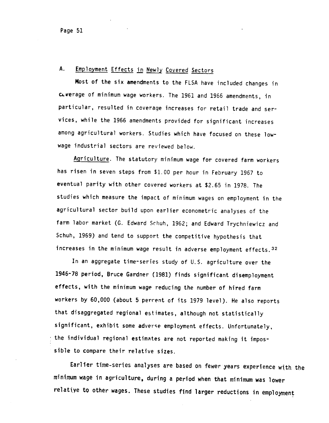### A. Employment Effects in Newly Covered Sectors

Most of the six amendments to the FLSA have included changes in cA.werage of minimum wage workers. The 1961 and 1966 amendments, in particular, resulted in coverage increases for retail trade and services, while the 1966 amendments provided for significant increases among agricultural workers. Studies which have focused on these lowwage industrial sectors are reviewed below.

Agriculture. The statutory minimum wage for covered farm workers has risen in seven steps from \$1.00 per hour in February 1967 to eventual parity with other covered workers at \$2.65 in 1978. The studies which measure the impact of minimum wages on employment in the agricultural sector build upon earlier econometric analyses of the farm labor market (G. Edward Schuh, 1962; and Edward Trychniewicz and Schuh, 1969) and tend to support the competitive hypothesis that increases in the minimum wage result in adverse employment effects. 32

In an aggregate time-series study of U.S. agriculture over the 1946-78 period, Bruce Gardner (1981) finds significant disemployment effects, with the minimum wage reducing the number of hired farm workers by 60,000 (about 5 perrent of its 1979 level). He also reports that disaggregated regional estimates, although not statistically significant, exhibit some adverse employment effects. Unfortunately,  $\pm$  the individual regional estimates are not reported making it impossible to compare their relative sizes.

Earlier time-series analyses are based on fewer years experience with the minimum wage in agriculture, during a period when that minimum was lower relatiye to other wages. These studies find larger reductions in employment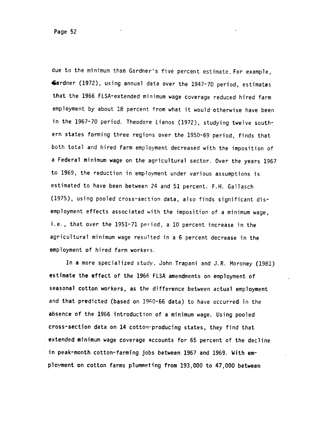due to the minimum than Gardner's five percent estimate. For example, Gardner (1972), using annual data over the 1947-70 period, estimates that the 1966 FLSA-extended minimum wage coverage reduced hired farm employment by about 18 percent from what it would otherwise have been in the 1967-70 period. Theodore Lianos (1972), studying twelve southern states forming three regions over the 1950-69 period, finds that both total and hired farm employment decreased with the imposition of a Federal minimum wage on the agricultural sector. Over the years 1967 to 1969, the reduction in employment under various assumptions is estimated to have been between 24 and 51 percent. F.H. Gallasch (1975), using pooled cross-section data, also finds significant disemployment effects associated with the imposition of a minimum wage, i.e., that over the 1951-71 period, a 10 percent increase in the agricultural minimum wage resulted in a 6 percent decrease in the employment of hired farm workers.

In a more specialized study, John Trapani and J.R. Moroney (1981) estimate the effect of the 1966 FLSA amendments on employment of seasonal cotton workers, as the difference between actual employment and that predicted (based on 1960-66 data) to have occurred in the absence of the 1966 introduction of a minimum wage. Using pooled cross-section data on 14 cotton-producing states, they find that extended minimum wage coverage accounts for 65 percent of the decline • in peak-month cotton-farming jobs between 1967 and 1969. With emplovment on cotton farms plummeting from 193,000 to 47,000 between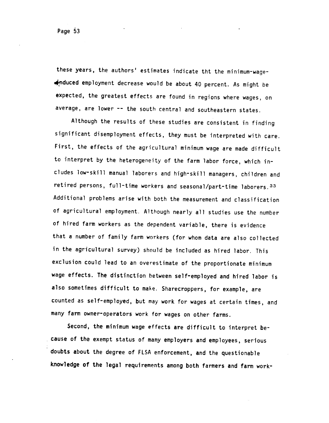these years, the authors' estimates indicate tht the minimum-wagenduced employment decrease would be about 40 percent. As might be expected, the greatest effects are found in regions where wages, on average, are lower -- the south central and southeastern states.

Although the results of these studies are consistent in finding significant disemployment effects, they must be interpreted with care. First, the effects of the agricultural minimum wage are made difficult to interpret by the heterogeneity of the farm labor force, which includes low-skill manual laborers and high-skill managers, children and retired persons, full-time workers and seasonal/part-time laborers.33 Additional problems arise with both the measurement and classification of agricultural employment. Although nearly all studies use the number of hired farm workers as the dependent variable, there is evidence that a number of family farm workers (for whom data are also collected in the agricultural survey) should be included as hired labor. This exclusion could lead to an overestimate of the proportionate minimum wage effects. The distinction between self-employed and hired labor is also sometimes difficult to make. Sharecroppers, for example, are counted as self-employed, but may work for wages at certain times, and many farm owner-operators work for wages on other farms.

Second, the minimum wage effects are difficult to interpret because of the exempt status of many employers and employees, serious doubts about the degree of FLSA enforcement, and the questionable knowledge of the legal requirements among both farmers and farm work-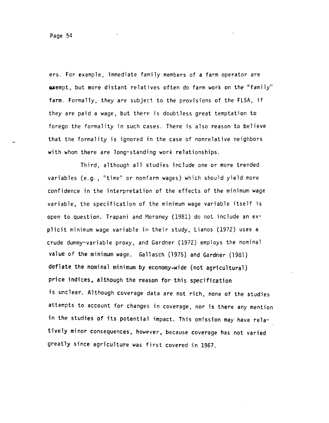ers. For example, immediate family members of a farm operator are exempt, but more distant relatives often do farm work on the "family" farm. Formally, they are subject to the provisions of the FLSA, if they are paid a wage, but there is doubtless great temptation to forego the formality in such cases. There is also reason to believe that the formality is ignored in the case of nonrelative neighbors with whom there are long-standing work relationships.

Third, although all studies include one or more trended variables (e.g., "time" or nonfarm wages) which should yield more confidence in the interpretation of the effects of the minimum wage variable, the specification of the minimum wage variable itself is open to question. Trapani and Moroney (1981) do not include an explicit minimum wage variable in their study, Lianos (1972) uses a crude dummy-variable proxy, and Gardner (1972) employs the nominal value of the minimum wage. Gallasch (1975) and Gardner (1981) deflate the nominal minimum by economy-wide (not agricultural) price indices, although the reason for this specification is unclear. Although coverage data are not rich, none of the studies attempts to account for changes in coverage, nor is there any mention in the studies of its potential impact. This omission may have relatively minor consequences, however, because coverage has not varied greatly since agriculture was first covered in 1967.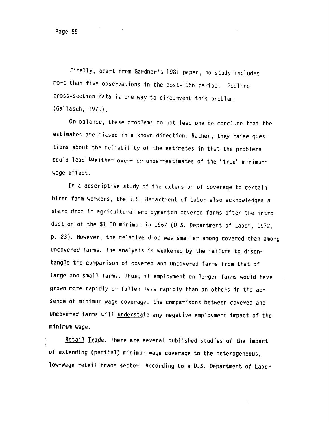Finally, apart from Gardner's 1981 paper, no study includes more than five observations in the post-1966 period. Pooling cross-section data is one way to circumvent this problem (Gallasch, 1975).

On balance, these problems do not lead one to conclude that the estimates are biased in a known direction. Rather, they raise questions about the reliability of the estimates in that the problems could lead toeither over- or under-estimates of the "true" minimumwage effect.

In a descriptive study of the extension of coverage to certain hired farm workers, the U.S. Department of Labor also acknowledges a sharp drop in agricultural employmenton covered farms after the introduction of the \$1.00 minimum in 1967 (U.S. Department of Labor, 1972, p. 23). However, the relative drop was smaller among covered than among uncovered farms. The analysis is weakened by the failure to disentangle the comparison of covered and uncovered farms from that of large and small farms. Thus, if employment on larger farms would have grown more rapidly or fallen less rapidly than on others in the absence of minimum wage coverage, the comparisons between covered and uncovered farms will understate any negative employment impact of the minimum wage.

Retail Trade. There are several published studies of the impact of extending (partial) minimum wage coverage to the heterogeneous, low-wage retail trade sector. According to a U.S. Department of Labor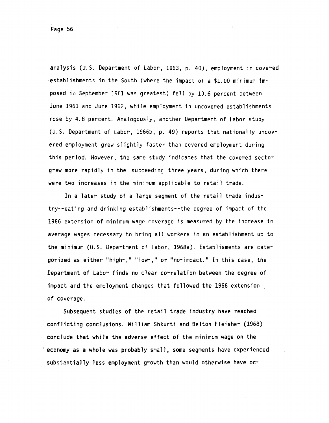analysis (U.S. Department of Labor, 1963, p. 40), employment in covered establishments in the South (where the impact of a \$1.00 minimum imposed in September 1961 was greatest) fell by 10.6 percent between June 1961 and June 1962, while employment in uncovered establishments rose by 4.8 percent. Analogously, another Department of Labor study (U.S. Department of Labor, 1966b, p. 49) reports that nationally uncovered employment grew slightly faster than covered employment during this period. However, the same study indicates that the covered sector grew more rapidly in the succeeding three years, during which there were two increases in the minimum applicable to retail trade.

In a later study of a large segment of the retail trade industry--eating and drinking establishments--the degree of impact of the 1966 extension of minimum wage coverage is measured by the increase in average wages necessary to bring all workers in an establishment up to the minimum (U.S. Department of Labor, 1968a). Establisments are categorized as either "high-," "low-," or "no-impact." In this case, the Department of Labor finds no clear correlation between the degree of impact and the employment changes that followed the 1966 extension of coverage.

Subsequent studies of the retail trade industry have reached conflicting conclusions. William Shkurti and Belton Fleisher (1968) conclude that while the adverse effect of the minimum wage on the economy as a whole was probably small, some segments have experienced substantially less employment growth than would otherwise have oc-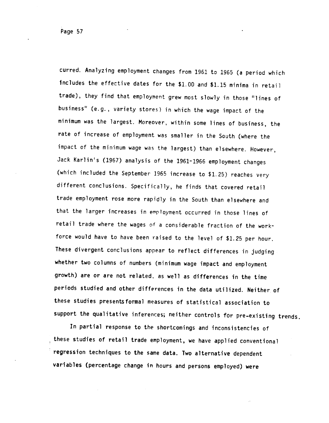curred. Analyzing employment changes from 1961 to 1965 (a period which Includes the effective dates for the \$1.00 and \$1.15 minima in retail trade), they find that employment grew most slowly in those 'lines of business" (e.g., variety stores) in which the wage impact of the minimum was the largest. Moreover, within some lines of business, the rate of increase of employment was smaller in the South (where the impact of the minimum wage was the largest) than elsewhere. However, Jack Karlin's (1967) analysis of the 1961-1966 employment changes (which included the September 1965 increase to \$1.25) reaches very different conclusions. Specifically, he finds that covered retail trade employment rose more rapidly in the South than elsewhere and that the larger increases in employment occurred in those lines of retail trade where the wages of a considerable fraction of the workforce would have to have been raised to the level of \$1.25 per hour. These divergent conclusions appear to reflect differences in judging whether two columns of numbers (minimum wage impact and employment growth) are or are not related, as well as differences in the time periods studied and other differences in the data utilized. Neither of these studies presentsformal measures of statistical association to support the qualitative inferences; neither controls for pre-existing trends.

In partial response to the shortcomings and inconsistencies of these studies of retail trade employment, we have applied conventional regression techniques to the same data. Two alternative dependent variables (percentage change in hours and persons employed) were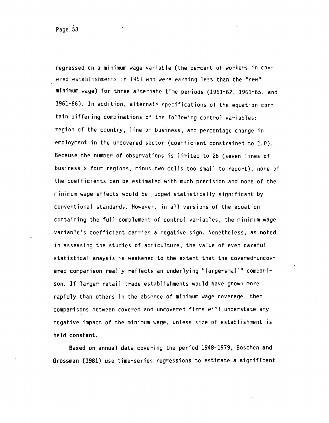regressed on a minimum wage variable (the percent of workers in covered establishments in 1961 who were earning less than the 'new" minimum wage) for three alternate time periods (1961-62, 1961-65, and 1961-66). In addition, alternate specifications of the equation contain differing combinations of the following control variables: region of the country, line of business, and percentage change in employment in the uncovered sector (coefficient constrained to 1.0). Because the number of observations is limited to 26 (seven lines of business x four regions, minus two cells too small to report), none of the coefficients can be estimated with much precision and none of the minimum wage effects would be judged statistically significant by conventional standards. However, in all versions of the equation containing the full complement of control variables, the minimum wage variable's coefficient carries a negative sign. Nonetheless, as noted in assessing the studies of agriculture, the value of even careful statistical anaysis is weakened to the extent that the covered-uncovered comparison really reflects an underlying "large-small" comparison. If larger retail trade establishments would have grown more rapidly than others in the absence of minimum wage coverage, then comparisons between covered and uncovered firms will understate any negative impact of the minimum wage, unless size of establishment is held constant.

Based on annual data covering the period 1948-1979, Boschen and Grossman (1981) use time-series regressions to estimate a significant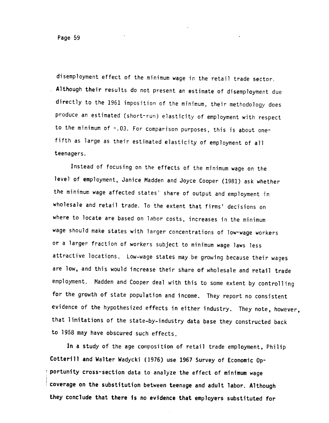disernployment effect of the minimum wage in the retail trade sector. Although their results do not present an estimate of disemployment due directly to the 1961 imposition of the minimum, their methodology does produce an estimated (short-run) elasticity of employment with respect to the minimum of -.03. For comparison purposes, this is about onefifth as large as their estimated elasticity of employment of all teenagers.

Instead of focusing on the effects of the minimum wage on the level of employment, Janice Madden and Joyce Cooper (1981) ask whether the minimum wage affected states' share of output and employment in wholesale and retail trade. To the extent that firms' decisions on where to locate are based on labor costs, increases in the minimum wage should make states with larger concentrations of low-wage workers or a larger fraction of workers subject to minimum wage laws less attractive locations. Low-wage states may be growing because their wages are low, and this would increase their share of wholesale and retail trade employment. Madden and Cooper deal with this to some extent by controlling for the growth of state population and income. They report no consistent evidence of the hypothesized effects in either industry. They note, however, that limitations of the state—by-industry data base they constructed back to 1958 may have obscured such effects.

In a study of the age composition of retail trade employment, Philip Cotterill and Walter Wadycki (1976) use 1967 Survey of Economic Opportunity cross-section data to analyze the effect of minimum wage coverage on the substitution between teenage and adult labor. Although they conclude that there is no evidence that employers substituted for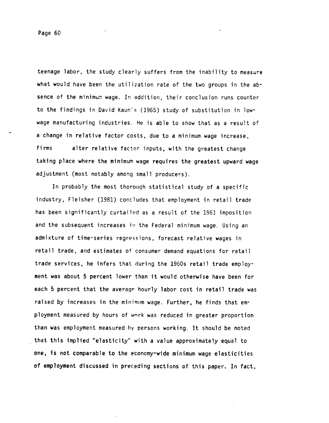Page 60

teenage labor, the study clearly suffers from the inability to measure what would have been the utilization rate of the two groups in the absence of the minimum wage. In addition, their conclusion runs counter to the findings in David Kaun's (1965) study of substitution in lowwage manufacturing industries. He is able to show that as a result of a change in relative factor costs, due to a minimum wage increase, firms alter relative factor inputs, with the greatest change taking place where the minimum wage requires the greatest upward wage adjustment (most notably among small producers).

In probably the most thorough statistical study of a specific industry, Fleisher (1981) concludes that employment in retail trade has been significantly curtailed as a result of the 1961 imposition and the subsequent increases in the Federal minimum wage. Using an admixture of time-series regressions, forecast relative wages in retail trade, and estimates of consumer demand equations for retail trade services, he infers that during the 1960s retail trade employment was about 5 percent lower than it would otherwise have been for each 5 percent that the average hourly labor cost in retail trade was raised by increases in the minimum wage. Further, he finds that employment measured by hours of wrrk was reduced in greater proportion than was employment measured hy persons working. It should be noted that this implied 'elasticity' with a value approximately equal to one, is not comparable to the economy-wide minimum wage elasticities of employment discussed in preceding sections of this paper. In fact,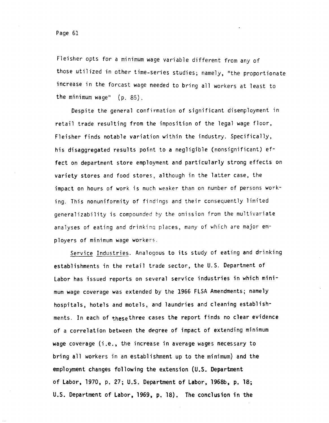Fleisher opts for a minimum wage variable different from any of those utilized in other time-series studies; namely, 'the proportionate increase in the forcast wage needed to bring all workers at least to the minimum wage' (p. 85).

Despite the general confirmation of significant disemployment in retail trade resulting from the imposition of the legal wage floor, Fleisher finds notable variation within the industry. Specifically, his disaggregated results point to a negligible (nonsignificant) effect on department store employment and particularly strong effects on variety stores and food stores, although in the latter case, the impact on hours of work is much weaker than on number of persons working. This nonuniformity of findings and their consequently limited generalizability is compounded by the omission from the multivariate analyses of eating and drinkinq places, many of which are major employers of minimum wage workers.

Service Industries. Analogous to its study of eating and drinking establishments in the retail trade sector, the U.S. Department of Labor has issued reports on several service industries in which minimum wage coverage was extended by the 1966 FLSA Amendments; namely hospitals, hotels and motels, and laundries and cleaning establishments. In each of thesethree cases the report finds no clear evidence of a correlation between the degree of impact of extending minimum wage coverage (i.e., the increase in average wages necessary to bring all workers in an establishment up to the minimum) and the employment changes following the extension (U.S. Department of Labor, 1970, P. 27; U.S. Department of Labor, 1968b, p. 18; U.S. Department of Labor, 1969, P. 18). The conclusion in the

Page 61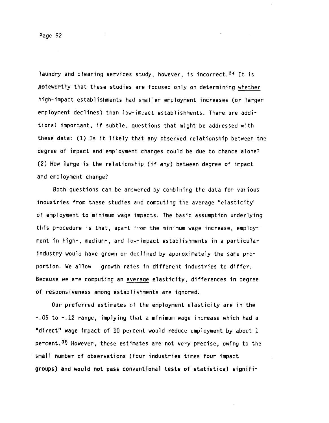Page 62

laundry and cleaning services study, however, is incorrect.<sup>34</sup> It is noteworthy that these studies are focused only on determining whether high-impact establishments had smaller employment increases (or larger employment declines) than low-impact establishments. There are additional important, if subtle, questions that might be addressed with these data: (1) Is it likely that any observed relationship between the degree of impact and employment changes could be due to chance alone? (2) How large is the relationship (if any) between degree of impact and employment change?

Both questions can be answered by combining the data for various industries from these studies and computing the average 'elasticity" of employment to minimum wage impacts. The basic assumption underlying this procedure is that, apart from the minimum wage increase, employment in high-, medium-, and low-impact establishments in a particular industry would have grown or declined by approximately the same proportion. We allow growth rates in different industries to differ. Because we are computing an average elasticity, differences in degree of responsiveness among establishments are ignored.

Our preferred estimates of the employment elasticity are in the -.05 to —.12 range, implying that a minimum wage increase which had a "direct" wage impact of 10 percent would reduce employment by about 1 percent.35 However, these estimates are not very precise, owing to the small number of observations (four industries times four impact groups) and would not pass conventional tests of statistical signifi-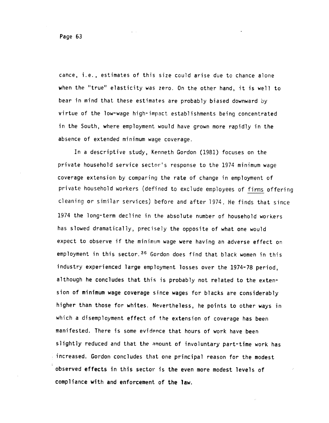cance, i.e. , estimates of this size could arise due to chance alone when the "true" elasticity was zero. On the other hand, it is well to bear in mind that these estimates are probably biased downward by virtue of the low-wage high-impact establishments being concentrated in the South, where employment would have grown more rapidly in the absence of extended minimum wage coverage.

In a descriptive study, Kenneth Gordon (1981) focuses on the private household service sector's response to the 1974 minimum wage coverage extension by comparing the rate of change in employment of private household workers (defined to exclude employees of firms offering cleaning or similar services) before and after 1974. He finds that since 1974 the long-term decline in the absolute number of household workers has slowed dramatically, precisely the opposite of what one would expect to observe if the minimum wage were having an adverse effect on employment in this sector. 36 Gordon does find that black women in this industry experienced large employment losses over the 1974-78 period, although he concludes that this is probably not related to the extension of minimum wage coverage since wages for blacks are considerably higher than those for whites. Nevertheless, he points to other ways in which a disemployment effect of the extension of coverage has been manifested. There is some evidence that hours of work have been slightly reduced and that the amount of involuntary part-time work has increased. Gordon concludes that one principal reason for the modest observed effects in this sector is the even more modest levels of compliance with and enforcement of the law.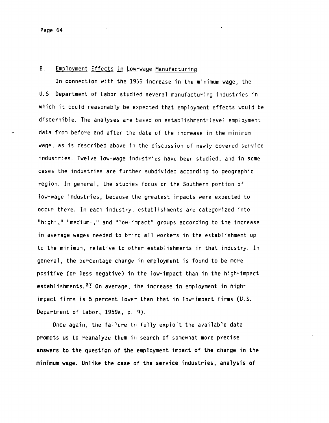### B. Employment Effects in Low-wage Manufacturing

In connection with the 1956 increase in the minimum wage, the U.S. Department of Labor studied several manufacturing industries in which it could reasonably be expected that employment effects would be discernible. The analyses are based on establishment-level employment data from before and after the date of the increase in the minimum wage, as is described above in the discussion of newly covered service industries. Twelve low-wage industries have been studied, and in some cases the industries are further subdivided according to geographic region. In general, the studies focus on the Southern portion of low-wage industries, because the greatest impacts were expected to occur there. In each industry, establishments are categorized into "high-," "medium-," and "low-impact" groups according to the increase in average wages needed to bring all workers in the establishment up to the minimum, relative to other establishments in that industry. In general, the percentage change in employment is found to be more positive (or less negative) in the low—impact than in the high-impact establishments.  $3<sup>2</sup>$  On average, the increase in employment in highimpact firms is 5 percent lower than that in low-impact firms (U.S. Department of Labor, 1959a, p. 9).

Once again, the failure to fully exploit the available data prompts us to reanalyze them in search of somewhat more precise answers to the question of the employment impact of the change in the minimum wage. Unlike the case of the service industries, analysis of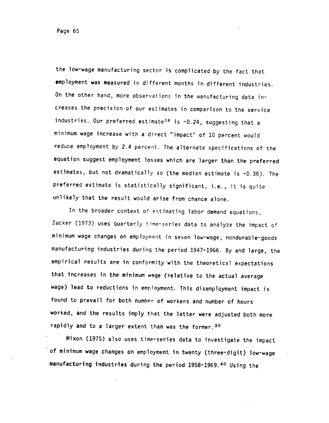Page 65

the low-wage manufacturing sector is complicated by the fact that employment was measured in different months in different industries. On the other hand, more observations in the manufacturing data increases the precision of our estimates in comparison to the service industries. Our preferred estimate<sup>38</sup> is -0.24, suggesting that a minimum wage increase with a direct 'impact' of 10 percent would reduce employment by 2.4 percent. The alternate specifications of the equation suggest employment losses which are larger than the preferred estimates, but not dramatically so (the median estimate is -0.36). The preferred estimate is statistically significant, i.e., it is quite unlikely that the result would arise from chance alone.

In the broader context of estimating labor demand equations, Zucker (1973) uses quarterly time-series data to analyze the impact of minimum wage changes on employn'ent. in seven low-wage, nondurable-goods manufacturing industries during the period 1947-1966. By and large, the empirical results are in conformity with the theoretical expectations that increases in the minimum wage (relative to the actual average wage) lead to reductions in employment. This disemployment impact is found to prevail for both number of workers and number of hours worked, and the results imply that the latter were adjusted both more rapidly and to a larger extent than was the former. 39

Mixon (1975) also uses time-series data to investigate the impact of minimum wage changes on employment in twenty (three-digit) low-wage manufacturing industries during the period 1958-1969.<sup>40</sup> Using the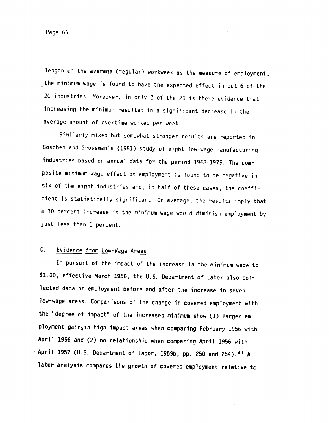length of the average (regular) workweek as the measure of employment, the minimum wage is found to have the expected effect in but 6 of the 20 industries. Moreover, in only 2 of the 20 is there evidence that increasing the minimum resulted in a significant decrease in the average amount of overtime worked per week.

Similarly mixed but somewhat stronger results are reported in Boschen and Grossman's (1981) study of eight low-wage manufacturing industries based on annual data for the period 1948-1979. The composite minimum wage effect on employment is found to be negative in six of the eight industries and, in half of these cases, the coefficient is statistically significant. On average, the results imply that a 10 percent increase in the minimum wage would diminish employment by just less than 1 percent.

## C. Evidence from Low-Wage Areas

In pursuit of the impact of the increase in the minimum wage to \$1.00, effective March 1956, the U.S. Department of Labor also collected data on employment before and after the increase in seven low-wage areas. Comparisons of the change in covered employment with the "degree of impact" of the increased minimum show (1) larger employment gaingin high-impact areas when comparing February 1956 with April 1956 and (2) no relationship when comparing April 1956 with April 1957 (U.S. Department of Labor, 1959b, pp. 250 and 254).<sup>41</sup> A later analysis compares the growth of covered employment relative to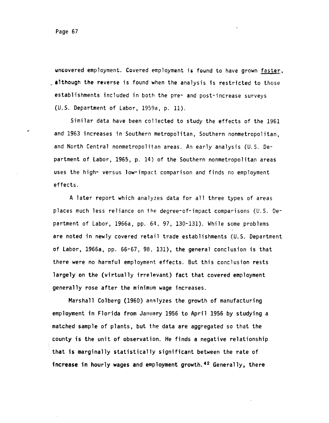uncovered employment. Covered employment is found to have grown faster, - although the reverse is found when the analysis is restricted to those establishments included in both the pre- and post-increase surveys (U.S. Department of Labor, 1959a, p. 11).

Similar data have been collected to study the effects of the 1961 and 1963 increases in Southern metropolitan, Southern nonmetropolitan, and North Central nonmetropolitan areas. An early analysis (U.S. Department of Labor, 1965, p. 14) of the Southern nonmetropolitan areas uses the high- versus low-impact comparison and finds no employment effects.

A later report which analyzes data for all three types of areas places much less reliance on the degree-of-impact comparisons (U.S. Department of Labor, 1966a, pp. 64, 97, 130-131). While some problems are noted in newly covered retail trade establishments (U.S. Department of Labor, 1966a, pp. 66-67, 98, 131), the general conclusion is that there were no harmful employment effects. But this conclusion rests largely on the (virtually irrelevant) fact that covered employment generally rose after the minimum wage increases.

Marshall Colberg (1960) analyzes the growth of manufacturing employment in Florida from January 1956 to April 1956 by studying a matched sample of plants, but the data are aggregated so that the county is the unit of observation. He finds a negative relationship • that is marginally statistically significant between the rate of increase in hourly wages and employment growth.<sup>42</sup> Generally, there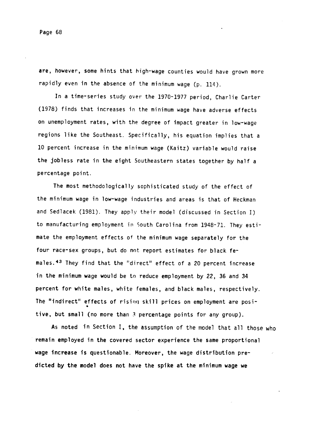are, however, some hints that high-wage counties would have grown more rapidly even in the absence of the minimum wage (p. 114).

In a time-series study over the 1970-1977 period, Charlie Carter (1978) finds that increases in the minimum wage have adverse effects on unemployment rates, with the degree of impact greater in low-wage regions like the Southeast. Specifically, his equation implies that a 10 percent increase in the minimum wage (Kaitz) variable would raise the jobless rate in the eight Southeastern states together by half a percentage point.

The most methodologically sophisticated study of the effect of the minimum wage in low-wage industries and areas is that of Heckman and Sedlacek (1981). They apply their model (discussed in Section I) to manufacturing employment in South Carolina from 1948-71. They estimate the employment effects of the minimum wage separately for the four race-sex groups, but do not. report estimates for black females.43 They find that the "direct" effect of a 20 percent increase in the minimum wage would be to reduce employment by 22, 36 and 34 percent for white males, white females, and black males, respectively. The "indirect" effects of risinq skill prices on employment are positive, but small (no more than 3 percentage points for any group).

As noted in Section I, the assumption of the model that all those who remain employed in the covered sector experience the same proportional wage increase is questionable. Moreover, the wage distribution predicted by the model does not have the spike at the minimum wage we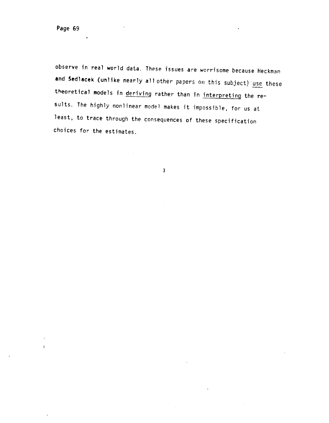$\mathbf{I}$ 

observe in real world data. These issues are worrisome because Heckman and Sedlacek (unlike nearly all other papers on this subject) use these theoretical models in deriving rather than in interpreting the results. The highly nonlinear model makes it impossible, for us at least, to trace through the consequences of these specification choices for the estimates.

 $\overline{\mathbf{r}}$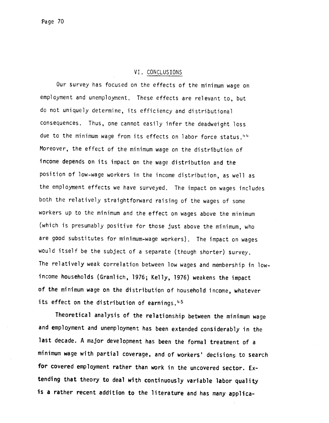#### VI. CONCLUSIONS

Our survey has focused on the effects of the minimum wage on employment and unemployment. These effects are relevant to, but do not uniquely determine, its efficiency and distributional consequences. Thus, one cannot easily infer the deadweight loss due to the minimum wage from its effects on labor force status.<sup>44</sup> Moreover, the effect of the minimum wage on the distribution of income depends on its impact on the wage distribution and the position of low—wage workers in the income distribution, as well as the employment effects we have surveyed. The impact on wages includes both the relatively straightforward raising of the wages of some workers up to the minimum and the effect on wages above the minimum (which is presumably positive for those just above the minimum, who are good substitutes for minimum-wage workers). The impact on wages would itself be the subject of a separate (though shorter) survey. The relatively weak correlation between low wages and membership in lowincome households (Granilich, 1976; Kelly, 1976) weakens the impact of the minimum wage on the distribution of household income, whatever its effect on the distribution of earnings. $45$ 

Theoretical analysis of the relationship between the minimum wage and employment and unemployment has been extended considerably in the last decade. A major development has been the formal treatment of a minimum wage with partial coverage, and of workers' decisions to search for covered employment rather than work in the uncovered sector. Extending that theory to deal with continuously variable labor quality is a rather recent addition to the literature and has many applica-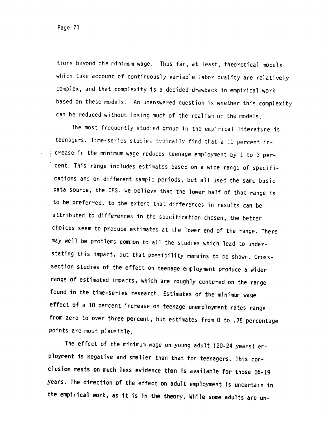tions beyond the minimum wage. Thus far, at least, theoretical models which take account of continuously variable labor quality are relatively complex, and that complexity is a decided drawback in empirical work based on these models. An unanswered question is whether this complexity can be reduced without losing much of the realism of the models.

The most frequently studied group in the empirical literature is teenagers. Time-series studies typically find that a 10 percent in<sup>i</sup> crease in the minimum wage reduces teenage employment by I to 3 percent. This range includes estimates based on a wide range of specifications and on different sample periods, but all used the same basic data source, the CPS. We believe that the lower half of that range is to be preferred; to the extent that differences in results can be attributed to differences in the specification chosen, the better choices seem to produce estimates at the lower end of the range. There may well be problems common to all the studies which lead to understating this impact, but that possibility remains to be shown. Cross section studies of the effect on teenage employment produce a wider range of estimated impacts, which are roughly centered on the range found in the time-series research. Estimates of the minimum wage effect of a 10 percent increase on teenage unemployment rates range from zero to over three percent, but estimates from 0 to .75 percentage points are most plausible.

The effect of the minimum wage on young adult (20-24 years) employment is negative and smaller than that for teenagers. This conclusion rests on much less evidence than is available for those 16-19 years. The direction of the effect on adult employment is uncertain in the empirical work, as It is in the theory. While some adults are un-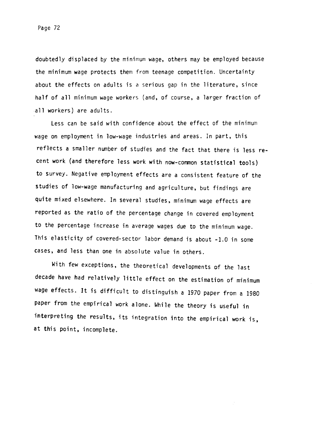doubtedly displaced by the minimum wage, others may be employed because the minimum wage protects them from teenage competition. Uncertainty about the effects on adults is a serious gap in the literature, since half of all minimum wage workers (and, of course, a larger fraction of all workers) are adults.

Less can be said with confidence about the effect of the minimum wage on employment in low-wage industries and areas. In part, this reflects a smaller number of studies and the fact that there is less recent work (and therefore less work with now-common statistical tools) to survey. Negative employment effects are a consistent feature of the studies of low-wage manufacturing and agriculture, but findings are quite mixed elsewhere. In several studies, minimum wage effects are reported as the ratio of the percentage change in covered employment to the percentage increase in average wages due to the minimum wage. This elasticity of covered-sector labor demand is about -1.0 in some cases, and less than one in absolute value in others.

With few exceptions, the theoretical developments of the last decade have had relatively little effect on the estimation of minimum wage effects. It is difficult to distinguish a 1970 paper from a 1980 paper from the empirical work alone. While the theory is useful in interpreting the results, its integration into the empirical work is, at this point, incomplete.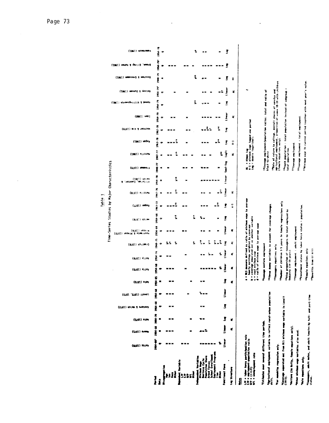| ļ                                                                          | i<br>(BLET) THEN | 1954-68<br>×<br>(LIST) Areas | e<br>E<br>×<br>$(1/61)$ offy | 医妄<br>۰<br>(2/61) USING & SHOSSON | ime<br>(ELST '2LST) (1840) | \$<br>(ELST) PIPY           | まま<br>٠<br>(6161) 41102                            | 1954 14<br>۰<br>(946T) ALLON                                                                                                                                                                      | 1948-75<br>$\bullet$<br>CATELY (1976) | 1954-69<br>$(9782)$ magnetic<br>۰<br>(OTEI) neonist & odeernaar | 1954-68<br>۰<br>(9/67) UP(00 | COLLAINS LIFE COLLAINS COLLAINS LOCAL COLLAINS LIFE<br>15.12<br>(LLET) under<br>٠ | 1941-76<br>(BLET) RELAXION<br>₹ | 1954 - 70<br>welch (1981)<br>Al-Salam, Quester,<br>×<br>٠ | 1948-77<br>(6/61) Maners | $38 - 77$<br>$(1061)$ $113374$   | $\frac{1}{2}$<br>(1961) UPDR3                                                              | $1962 - 78$<br><b>(ETEL) BIX &amp; SAJASEV</b> | lina ra<br>(0061) 6001 | 1954-791<br><b>SS-75</b><br>(1961) Havensbuillin & beach | (IB6I) wasung y Aastag |                                                                                             | 1954-791<br>وبمعن<br>GEST) nones & gentle<br><b>PAR-79</b><br>(1961) weeksong a newpool |
|----------------------------------------------------------------------------|------------------|------------------------------|------------------------------|-----------------------------------|----------------------------|-----------------------------|----------------------------------------------------|---------------------------------------------------------------------------------------------------------------------------------------------------------------------------------------------------|---------------------------------------|-----------------------------------------------------------------|------------------------------|-----------------------------------------------------------------------------------|---------------------------------|-----------------------------------------------------------|--------------------------|----------------------------------|--------------------------------------------------------------------------------------------|------------------------------------------------|------------------------|----------------------------------------------------------|------------------------|---------------------------------------------------------------------------------------------|-----------------------------------------------------------------------------------------|
| i                                                                          |                  |                              | - 1                          | <b>28 SE</b>                      |                            |                             |                                                    |                                                                                                                                                                                                   | t.                                    |                                                                 |                              | ш                                                                                 | ×<br>×                          |                                                           | œ                        | 4<br>×                           | 0<br>×                                                                                     | $\bullet$                                      | $\bullet$              |                                                          | ۰                      | $\bullet$                                                                                   | $\bullet$                                                                               |
| H                                                                          |                  |                              |                              |                                   |                            |                             | - 39                                               |                                                                                                                                                                                                   | ÷,                                    |                                                                 | î,                           | ፤                                                                                 | î                               | ะ                                                         |                          | $\ddot{\tilde{z}}$               | î<br>. .                                                                                   |                                                | . .                    |                                                          |                        | $\blacksquare$                                                                              |                                                                                         |
| light is                                                                   |                  |                              |                              |                                   |                            |                             | æ                                                  | ×                                                                                                                                                                                                 | ፥                                     | . .                                                             | ፧                            | ×                                                                                 | æ                               |                                                           |                          | $\blacksquare$                   | ×                                                                                          |                                                | ×                      |                                                          | ī                      | ×                                                                                           | î,                                                                                      |
| tre land<br>miness Cycle<br>multalian Share<br><b>Marcos</b><br>į          |                  |                              |                              |                                   |                            | w se                        | --                                                 | ъ.<br>. .                                                                                                                                                                                         | ₹.<br>ī                               | ٠                                                               |                              | .                                                                                 | <br>×                           |                                                           |                          |                                  |                                                                                            | L<br>v.                                        |                        | <b>UMM</b>                                               |                        | $\blacksquare$<br>                                                                          | $\bullet$ $\blacksquare$<br>$\mathbf{z}$<br>49 M                                        |
| li<br>Notes<br>l<br>į                                                      |                  |                              |                              |                                   |                            |                             | ÷,                                                 | ٩                                                                                                                                                                                                 | ì,<br>i,                              | 86                                                              |                              |                                                                                   | ፟                               |                                                           |                          | ፥                                | .i                                                                                         | Į,                                             |                        |                                                          |                        | ×÷                                                                                          | ×                                                                                       |
| metional favo                                                              | linear           | Ì                            | I                            | ŝ                                 | limer                      | S                           | theor                                              | i<br>İst                                                                                                                                                                                          | $\overline{\mathbf{s}}$               | Ì                                                               | 3                            | ŝ                                                                                 | Ì                               | t i near                                                  | Sent-Tog                 | š                                | Ŝ                                                                                          | ŝ                                              | Ì                      | 3                                                        |                        | j                                                                                           | Ĵ<br>š                                                                                  |
| <b>Management</b><br>휡                                                     |                  | ₹                            | ¥                            |                                   |                            | Z                           | æ                                                  | ť                                                                                                                                                                                                 | Ξ                                     | ε                                                               |                              | Ţ                                                                                 | Z                               |                                                           |                          | æ                                | Ξ                                                                                          |                                                | z                      |                                                          |                        | æ                                                                                           | $\ddot{z}$                                                                              |
| ar force participation rate<br>loyant-papulation ratio<br>playment role    |                  |                              |                              |                                   |                            | :<br>$\bullet$<br>$\bullet$ | <b>The Page 1991</b> of the Lagr                   | <b>DES measure defined as ratio of minimum wage to average</b><br>hourly earnings weighted by coverage<br>B = coverage separated out as another variable<br>retto of minimum wage to average wage |                                       |                                                                 |                              |                                                                                   |                                 |                                                           |                          |                                  | AL = Altam leg<br>T-1 = minimum wege lagged one pariod<br>Leg = double logarithmic         |                                                |                        |                                                          |                        |                                                                                             |                                                                                         |
| cottantos amor samoral different tiem periods.                             |                  |                              |                              |                                   |                            |                             |                                                    | <b><i>Disemble montain copiesale</i></b>                                                                                                                                                          |                                       |                                                                 |                              |                                                                                   |                                 |                                                           | blact-to-white           |                                  | to particular and interview that the collapse showed in                                    |                                                |                        |                                                          |                        |                                                                                             |                                                                                         |
| pricultural employment variable to reflect rural-urban population<br>ž     |                  |                              |                              |                                   |                            |                             |                                                    | to three duany variables to account for coverage changes                                                                                                                                          |                                       |                                                                 |                              |                                                                                   |                                 |                                                           |                          |                                  |                                                                                            |                                                |                        |                                                          |                        |                                                                                             |                                                                                         |
| or meaning repression only.                                                |                  |                              |                              |                                   |                            |                             |                                                    | <b><i><u>Ileenagers</u></i></b> equalions only                                                                                                                                                    |                                       |                                                                 |                              |                                                                                   |                                 |                                                           |                          |                                  | appear of return to college, overall shares of service and                                 |                                                |                        |                                                          |                        | Agricultural employment, proportion of www.n 18-19 with children<br>(female equations mily) |                                                                                         |
| recrease supervative and from BLS afolious wage verticate for LoveTT<br>ĵ. |                  |                              |                              |                                   |                            |                             | Industry (14-19 years)                             | Phamber of Children 3-5 years in female regressions only<br>and is proportion of teenagers to lotal employed by                                                                                   |                                       |                                                                 |                              |                                                                                   |                                 |                                                           |                          |                                  | <sup>24</sup> Youth population : total population instead of subgroup<br>total population: |                                                |                        |                                                          |                        |                                                                                             |                                                                                         |
| feltore (in Kally, famile equations only).                                 |                  |                              |                              |                                   |                            |                             |                                                    | "Teenage employment : adult employment                                                                                                                                                            |                                       |                                                                 |                              |                                                                                   |                                 |                                                           |                          | <sup>81</sup> leenage employment |                                                                                            |                                                |                        |                                                          |                        |                                                                                             |                                                                                         |
| Kher minimum wage variables also vsed.                                     |                  |                              |                              |                                   |                            |                             |                                                    | "Envollment status by labor force status - population                                                                                                                                             |                                       |                                                                 |                              |                                                                                   |                                 |                                                           |                          |                                  | ficenage employment ( total employment                                                     |                                                |                        |                                                          |                        |                                                                                             |                                                                                         |
| take equations only.                                                       |                  |                              |                              |                                   |                            |                             | <b><i><b><i>Streate equations</i></b> only</i></b> |                                                                                                                                                                                                   |                                       |                                                                 |                              |                                                                                   |                                 |                                                           |                          |                                  |                                                                                            |                                                |                        |                                                          |                        | Paintmen wage. In current period together with next year's value.                           |                                                                                         |

Time-Series Studies by Major Characteristics Table 1

l.

**Ofonogers, adult notes, and adult (enales by full- and part-time**<br>status,

**Ofenale equation only**<br>|-<br>| Denefits from GE hill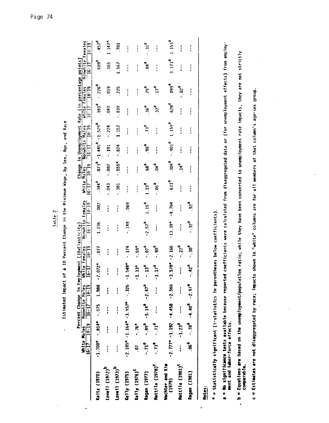|                                                                                                                                                                        | $16 - 17$     | $18 - 19$<br>White Males | Percent Change in Empl<br>Nonwhite Males<br>16-17 18-19 |              | [<br>- 3                | oyment (10xElasticity)<br>$18 - 19$<br>hite Females | Nonwhite Females<br>$16 - 17$                                                                   | $18 - 19$         | White<br>$\frac{1}{6}$ | $18 - 19$<br>M <sub>d</sub> | Nonwhite Males<br>$16-17$ | $18 - 19$             | White Females<br>16-17 18-19 |                       | Change in Unemployment Rate (in percentage points)<br>Nonwhite<br>$16 - 1$ | Females<br>$18 - 19$    |
|------------------------------------------------------------------------------------------------------------------------------------------------------------------------|---------------|--------------------------|---------------------------------------------------------|--------------|-------------------------|-----------------------------------------------------|-------------------------------------------------------------------------------------------------|-------------------|------------------------|-----------------------------|---------------------------|-----------------------|------------------------------|-----------------------|----------------------------------------------------------------------------|-------------------------|
| Kaitz (1970)                                                                                                                                                           | $-1.700*$     | $-0.814*$                | $-0.075$                                                | $1.988 - 2$  | $.072*$                 | .077                                                | 1.236                                                                                           | <b>002</b>        | .344 <sup>a</sup>      | $e^{E/L}$                   | $-1.445$ <sup>a</sup>     | $-1.529$ <sup>a</sup> | 181 <sup>d</sup>             | $-0.226$ <sup>a</sup> | .609 <sup>d</sup>                                                          | 457 <sup>d</sup>        |
| Lovell (1972) <sup>b</sup>                                                                                                                                             | $\frac{1}{1}$ | $\mathbf{r}$             | $\mathbf{I}$                                            | i            | $\mathbf{I}$            | $\mathbf{1}$                                        | $\mathbf{i}$                                                                                    | ì                 | .043                   | $-0.087$                    | $-191$                    | $-0.224$              | .049                         | .019                  | .165                                                                       | $1.147*$                |
| Lovell (1973) <sup>b</sup>                                                                                                                                             | $\mathbf{I}$  | i                        | $\mathbf{r}$                                            | $\mathbf{I}$ | :                       | $\mathbf{r}$                                        | i                                                                                               | i                 | $-381$                 | $-555*$                     | $-0.824$                  | 1.152                 | $-839$                       | .225                  | 1.567                                                                      | 701                     |
| Ke11y(1975)                                                                                                                                                            |               |                          | $-2.185* -1.164* -3.957*$                               | $-326$       | $.548*$<br>$\mathbf{r}$ | $-174$                                              | $-149$                                                                                          | .069              | :                      | $\frac{1}{1}$               | <br> <br>                 | - 1                   | $\frac{1}{1}$                | $\vdots$              | $\frac{1}{1}$                                                              | $\frac{1}{1}$           |
| Kelly (1976) <sup>C</sup>                                                                                                                                              | .07           | $-76*$                   |                                                         |              | $.33*$<br>7             | $-59*$                                              |                                                                                                 |                   | $\frac{1}{1}$          | $\mathbf{i}$                | $\mathbf{r}$              | ;                     | ;                            | $\frac{1}{1}$         | $\mathbf{1}$                                                               | $\mathbf{I}$            |
| Ragan (1977)                                                                                                                                                           | $-71^a$       | $-.89a$                  | $-5.14^a$                                               | $-2.47^a$    | 13 <sup>d</sup>         | $^{6}$ (0'-                                         | $-2.57d$                                                                                        | 1.15 <sup>d</sup> | $19^{d}$               | $B99$ .                     | .98 <sup>d</sup>          | 73 <sup>a</sup>       | 36 <sup>3</sup>              | .79 <sup>d</sup>      | Bq <sup>d</sup>                                                            | $\cdot$ 31 <sup>e</sup> |
| Mattila (1978) <sup>C</sup>                                                                                                                                            | $-73a$        | $-71^a$                  | $\frac{1}{4}$                                           | $\mathbf{r}$ | 17 <sup>d</sup><br>7    | $-0.90^{4}$                                         | $\mathbf{I}$                                                                                    | :                 | $-0.06$ <sup>a</sup>   | $P^{b}$                     | ;                         | $\frac{1}{1}$         | 32 <sup>a</sup>              | 17 <sup>a</sup>       | ł<br>$\frac{1}{4}$                                                         | $\frac{1}{1}$           |
| Wachter and Kim<br>(1979)                                                                                                                                              |               |                          | $-2.777$ * -1.192 -4.458                                | $-2.566$     | $578^*$<br>$\mathbf{r}$ | $-2.166$                                            | $-13.39*$                                                                                       | $-4.784$          | 611 <sup>a</sup>       | .304 <sup>a</sup>           | $-901d$                   | 1.159 <sup>d</sup>    | $-628d$                      | 6660                  | 3.171 <sup>d</sup>                                                         | 1.153 <sup>a</sup>      |
| Mattila (1981) <sup>C</sup>                                                                                                                                            |               | $-$ -1.23 <sup>a</sup>   | $\mathbf{I}$                                            | $\mathbf{I}$ | $\mathbf{r}$            | $-0.22$                                             | :                                                                                               | $\frac{1}{1}$     | :                      | $14^d$                      | i                         | i                     | i                            | $-0.02$               | $\frac{1}{1}$                                                              | i                       |
| Ragan (1981)                                                                                                                                                           | $-96^{\circ}$ |                          | $-78^9 - 4.40^8 - 2.97^8$                               |              | 42 <sup>d</sup>         | $\cdot$ .30 $^{a}$                                  | $-0.32^{a}$                                                                                     | $-92a$            | $\frac{1}{1}$          | :                           | I                         | $\frac{1}{2}$         | $\mathbf{1}$                 | $\mathbf{1}$          | $\mathbf{1}$                                                               | :                       |
| Notes:                                                                                                                                                                 |               |                          |                                                         |              |                         |                                                     |                                                                                                 |                   |                        |                             |                           |                       |                              |                       |                                                                            |                         |
| A = Statistically significant (t-statistics in parentheses below coefficients)                                                                                         |               |                          |                                                         |              |                         |                                                     |                                                                                                 |                   |                        |                             |                           |                       |                              |                       |                                                                            |                         |
| a = Mo significance tests available because reported<br>ment and labor-force effects.                                                                                  |               |                          |                                                         |              |                         |                                                     | coefficients were calculated from disaggregated data or (for unemployment effects) from employ- |                   |                        |                             |                           |                       |                              |                       |                                                                            |                         |
| <b>b</b> = Equations are based on the unemployment/population ratio; while they have been converted to unemployment rate impacts, they are not strictly<br>comparable. |               |                          |                                                         |              |                         |                                                     |                                                                                                 |                   |                        |                             |                           |                       |                              |                       |                                                                            |                         |
| c = Estimates are not disaggregated by race; impacts                                                                                                                   |               |                          |                                                         |              |                         |                                                     | shown in "white" columns are for all members of that column's age-sex group.                    |                   |                        |                             |                           |                       |                              |                       |                                                                            |                         |

 $\ddot{\phantom{a}}$ 

 $\overline{a}$ 

 $\ddot{\phantom{a}}$ 

Estimated Impact of a 10 Percent Change in the Minimum Wage, by Sex, Age, and Race Estimated Impact of a 10 Percent Change in the Minimum Wage, by Sex, Age, and Race

 $\ddot{\phantom{0}}$ 

J,

 $\ddot{\phantom{0}}$ 

Table 2

 $\frac{1}{2}$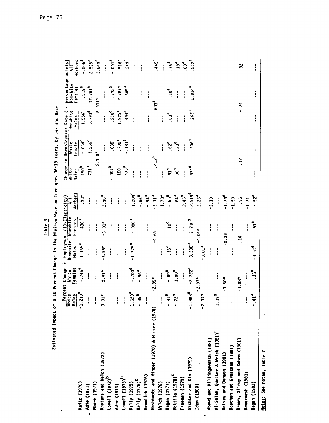| .<br>.<br>.<br>.       |
|------------------------|
|                        |
|                        |
| ears, by Sex and Race  |
|                        |
| $\frac{1}{2}$          |
|                        |
| $\frac{1}{2}$          |
| a a bha Mhainnian an A |
|                        |
|                        |
|                        |
| <b>CONG</b>            |
| ⊾<br>⊓<br>—            |
| ិ<br>ត                 |
| $\frac{1}{2}$<br>l     |
|                        |

|                                               |                               |                       |                    |                                                                                                                                                                                                                          |                      |                  |                   |                      | Change in Unemployment Rate (in percentage points) |                    |
|-----------------------------------------------|-------------------------------|-----------------------|--------------------|--------------------------------------------------------------------------------------------------------------------------------------------------------------------------------------------------------------------------|----------------------|------------------|-------------------|----------------------|----------------------------------------------------|--------------------|
|                                               |                               |                       |                    |                                                                                                                                                                                                                          |                      | White            | White<br>Si       | Nonwhite             | Nonwhite                                           | $\bar{4}$          |
|                                               |                               |                       |                    |                                                                                                                                                                                                                          | Workers              | Males            | Females           | Males                | Females                                            | Workers            |
| Kaitz (1970)                                  |                               | $-0.746$ <sup>3</sup> | 1.165 <sup>a</sup> | Percent Change in Employment (10xElasticity)<br>White White Nonwhite Nonwhite All<br>Males Females Males Females Worker<br>1.210 <sup>3</sup> -.746 <sup>3</sup> 1.165 <sup>3</sup> .438 <sup>3</sup> -.98*<br>$138^{d}$ | $-98^*$              | $-190^d$         | $-0.034d$         | $-1.556^{\text{-}3}$ | $-519a$                                            | $-006^{\circ}$     |
| Adie (1971)                                   | $\mathbf{I}$                  | $\mathbf{I}$          | i                  | $\frac{1}{1}$                                                                                                                                                                                                            | Î                    | $-731a$          | $3.256^{a}$       | 5.793 <sup>a</sup>   | 12.761 <sup>3</sup>                                | 2.525 <sup>a</sup> |
| Moore (1971)                                  | $\mathbf{I}$                  | ł                     | i                  | i                                                                                                                                                                                                                        | ł                    |                  | $2.960*$          |                      | $8.901*$                                           | 3.649 <sup>d</sup> |
| Kosters and Welch (1972)                      | $-3.31$                       | $-2.41*$              | $3.56*$            | $3.01*$                                                                                                                                                                                                                  | $-2.96^{d}$          | i                | $\mathbf{r}$      | $\frac{1}{1}$        | $\frac{1}{1}$                                      |                    |
| Lovell (1972) <sup>b</sup>                    | $\frac{1}{4}$                 | $\mathbf{1}$          | ł                  | $\frac{1}{1}$                                                                                                                                                                                                            | ļ                    | $^{6}$ 190       | $-030^4$          | $-0.12$              | $P^{66}$                                           | $-0.001a$          |
| Adie (1973)                                   | $\frac{1}{4}$                 | $\mathbf{I}$          | I                  | $\frac{1}{4}$                                                                                                                                                                                                            | $\mathbf{1}$         | .160             | $.700*$           | $1.925*$             | $2.787*$                                           | $.518*$            |
| Lovell (1973) <sup>b</sup>                    | $\frac{1}{4}$                 | ł                     | i                  | $\frac{1}{1}$                                                                                                                                                                                                            | ł                    | $e^{5/4}$        | B181 <sup>a</sup> | 494 <sup>a</sup>     | 505 <sup>d</sup>                                   | $-249^{\rm a}$     |
| Kelly (1975)                                  | $-1.62$                       | $1000^\circ$          | $1.775^a$          | $-0.080$ <sup>a</sup>                                                                                                                                                                                                    | $-1.204^{d}$         | $\mathbf{I}$     | $\frac{1}{1}$     | $\frac{1}{1}$        | $\frac{1}{1}$                                      | i                  |
| Kelly (1976) <sup>C</sup>                     | $\mathbf{a}$<br>$\frac{5}{1}$ | $-96^{\circ}$         | $\frac{1}{1}$      | $\frac{1}{4}$                                                                                                                                                                                                            | $-0.66$ <sup>d</sup> | $\mathbf{r}$     | ł                 | $\frac{1}{1}$        | İ                                                  | $\frac{1}{1}$      |
| Gramlich (1976)                               | $\frac{1}{1}$                 | $\mathbf{I}$          | $\mathbf{I}$       | $\frac{1}{1}$                                                                                                                                                                                                            | $-94^d$ .            | $\frac{1}{1}$    | i                 | $\frac{1}{1}$        | $\frac{1}{1}$                                      |                    |
| Hashimoto and Mincer (1970) & Mincer (1976)   |                               | $-2.05*$              |                    | 4.65                                                                                                                                                                                                                     | $-2.31a$             | $-412^d$         |                   |                      | $^{6}$ 693 <sup>a</sup>                            | $-445a$            |
| Welch (1976)                                  |                               | I                     | i                  | I                                                                                                                                                                                                                        | $-1.78$ *            | i                |                   | $\frac{1}{1}$        |                                                    | $\frac{1}{1}$      |
| Ragan (1977)                                  | $-18.$                        | $-0.09^{a}$           | $-35^{\circ}$      | $\mathbf{e}^{01}$ .                                                                                                                                                                                                      | $-65^{\circ}$        | $\overline{5}$   | $e^{29}$          | $^{6}$               | $10^d$                                             | 75 <sup>a</sup>    |
| Mattila (1978) <sup>C</sup>                   | $\frac{2}{1}$                 | $-1.00^{8}$           | j                  | İ                                                                                                                                                                                                                        | $-.84a$              | ີອ               | 23 <sup>a</sup>   | í                    | $\frac{1}{1}$                                      | $e^{01}$           |
| Freeman (1979)                                | $\frac{1}{4}$                 | $\frac{1}{1}$         | $\frac{1}{1}$      | ļ                                                                                                                                                                                                                        | $-2.46d$             |                  | $\frac{1}{4}$     | i                    | $\frac{1}{4}$                                      | $500^{\circ}$      |
| Wachter and Kim (1975)                        | $-1.88$                       | $-2.722$ <sup>a</sup> | $-3.290^{a}$       | $-7.710a$                                                                                                                                                                                                                | $-2.519a$            | 431 <sup>a</sup> | .306 <sup>4</sup> | 265 <sup>d</sup>     | $1.814^{d}$                                        | 512 <sup>a</sup>   |
| Iden (1980)                                   | $\pmb{\kappa}$                | $-2.07*$              |                    | $-4.04*$                                                                                                                                                                                                                 | $2.26^{a}$           |                  |                   |                      |                                                    |                    |
|                                               | $-2.31$                       |                       | $-3.81*$           |                                                                                                                                                                                                                          |                      |                  |                   |                      |                                                    |                    |
| Abowd and Killingsworth (1981)                | $\frac{1}{1}$                 | I                     | i                  | ł                                                                                                                                                                                                                        | $-2.13$              |                  |                   |                      |                                                    |                    |
| Al-Salam, Quester & Welch (1981) <sup>C</sup> | ٢U<br>$-1.19$                 | $\vdots$              | $\frac{1}{1}$      | i                                                                                                                                                                                                                        | I                    |                  |                   |                      |                                                    |                    |
| Betsey and Dunson (1981)                      |                               | $-1.50*$              | $-0.33$            |                                                                                                                                                                                                                          | $-1.39^{d}$          |                  |                   |                      |                                                    |                    |
| Boschen and Grossman (1981)                   | ì                             | i                     | :                  | $\frac{1}{1}$                                                                                                                                                                                                            | $-1.50$              |                  |                   |                      |                                                    |                    |
| Brown, Gilroy and Kohen (1981)                |                               | $-1.08*$              | ۹                  |                                                                                                                                                                                                                          | $-0.96$              | $\ddot{5}$       |                   |                      | $-74$                                              | $\approx$          |
| Hamermesh (1981)                              | ł                             |                       |                    | i                                                                                                                                                                                                                        | $-1.21$              |                  |                   |                      |                                                    |                    |
| Ragan (1981)                                  | æ<br>$\ddot{=}$               | $-35a$                | $-3.51^{\text{a}}$ | $\cdot$ 51 <sup>a</sup>                                                                                                                                                                                                  | $-52^a$              | ٠<br>į           | $\frac{1}{2}$     | i                    | ٠<br>Ì                                             | $\mathbf{r}$       |
| Motes: See notes, Table 2.                    |                               |                       |                    |                                                                                                                                                                                                                          |                      |                  |                   |                      |                                                    |                    |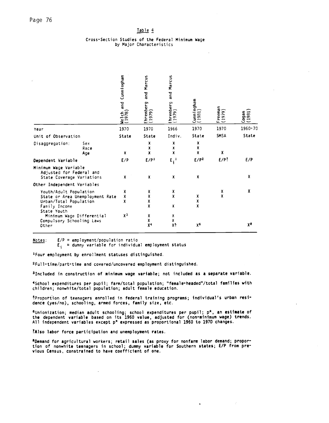#### Cross-Section Studies of the Federal Minimum Wage by Major Characteristics

|                                                                                  |                                 | Cunningham<br>and<br>Welch<br>(1978) | Marcus<br>and<br>Ehrenberg<br>(1979) | Marcus<br>and<br>hrenberg<br>[1979] | $\begin{array}{c} \text{(unn) ngham} \ (1981) \end{array}$ | reeman<br>979<br>$\overline{\phantom{0}}$ | $Cogan$<br>$(1981)$ |
|----------------------------------------------------------------------------------|---------------------------------|--------------------------------------|--------------------------------------|-------------------------------------|------------------------------------------------------------|-------------------------------------------|---------------------|
| Year                                                                             |                                 | 1970                                 | 1970                                 | 1966                                | 1970                                                       | 1970                                      | 1960-70             |
| Unit of Observation                                                              |                                 | State                                | State                                | Indiv.                              | State                                                      | SMSA                                      | State               |
| Disaggregation:                                                                  | Sex<br>Race<br>Age              | X                                    | χ<br>Χ<br>X                          | X<br>X<br>X                         | X<br>X<br>X                                                | X                                         |                     |
| Dependent Variable                                                               |                                 | E/P                                  | E/P <sup>1</sup>                     | $E_i^1$                             | E/P <sup>2</sup>                                           | $E/P$ ?                                   | E/P                 |
| Minimum Wage Variable<br>Adjusted for Federal and<br>State Coverage Variations   |                                 | X                                    | X                                    | x                                   | X                                                          |                                           | χ                   |
| Other Independent Variables                                                      |                                 |                                      |                                      |                                     |                                                            |                                           |                     |
| Youth/Adult Population<br>Urban/Total Population<br>Family Income<br>State Youth | State or Area Unemployment Rate | X<br>X<br>x                          | X<br>X<br>X<br>X                     | X<br>X<br>Χ                         | X<br>X<br>X                                                | X<br>X                                    | X                   |
| Minimum Wage Differential<br>Compulsory Schooling Laws<br>Other                  |                                 | χ3                                   | X<br>X<br>X <sup>4</sup>             | X<br>X<br>χŞ                        | χ6                                                         |                                           | χa                  |

Notes:

 $E/P = emplogment/population ratio$ <br> $E_i = dummy variable for individual emplogment status$ 

<sup>1</sup>Four employment by enrollment statuses distinguished.

<sup>2</sup>Full-time/part-time and covered/uncovered employment distinguished.

3Included in construction of minimum wage variable; not included as a separate variable.

4School expenditures per pupil; farm/total population; "female-headed"/total families with children; nonwhite/total population; adult female education.

\*Proportion of teenagers enrolled in federal training programs; individual's urban residence (yes/no), schooling, armed forces, family size, etc.

 $6$ Unionization; median adult schooling; school expenditures per pupil;  $p^*$ , an estimate of the dependent variable based on its 1960 value, adjusted for (non-minimum wage) trends. All independent variables except p\* expressed as proportional 1960 to 1970 changes.

?Also labor force participation and unemployment rates.

\*Demand for agricultural workers; retail sales (as proxy for nonfarm labor demand; proportion of nonwhite teenagers in school; dummy variable for Southern states; E/P from previous Census, constrained to have coefficient of one.

 $\mathbb{C}$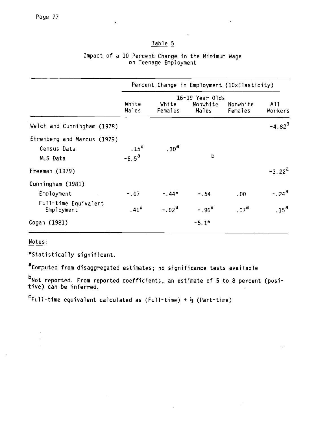# Impact of a 10 Percent Change in the Minimum Wage on Teenage Employment

|                                                               |                                    |                  |                                      | Percent Change in Employment (10xElasticity) |                      |
|---------------------------------------------------------------|------------------------------------|------------------|--------------------------------------|----------------------------------------------|----------------------|
|                                                               | White<br>Males                     | White<br>Females | 16-19 Year Olds<br>Nonwhite<br>Males | Nonwhite<br>Females                          | A11<br>Workers       |
| Welch and Cunningham (1978)                                   |                                    |                  |                                      |                                              | $-4.82$ <sup>a</sup> |
| Ehrenberg and Marcus (1979)<br>Census Data<br><b>NLS Data</b> | $.15^{\text{a}}$<br>$-6.5^{\rm a}$ | .30 <sup>a</sup> | $\mathbf b$                          |                                              |                      |
| Freeman (1979)                                                |                                    |                  |                                      |                                              | $-3.22^{\rm d}$      |
| Cunningham (1981)                                             |                                    |                  |                                      |                                              |                      |
| Employment                                                    | $-.07$                             | $-0.44*$         | $-.54$                               | .00                                          | $-0.24$ <sup>a</sup> |
| Full-time Equivalent<br>Employment                            | .41 <sup>a</sup>                   | $-.02a$          | $-.96d$                              | .07 <sup>d</sup>                             | .15 <sup>a</sup>     |
| Cogan (1981)                                                  |                                    |                  | $-5.1*$                              |                                              |                      |

Notes:

\*statistically significant.

aComputed from disaggregated estimates; no significance tests available

-Not reported. From reported coefficients, an estimate of 5 to 8 percent (posi-  $\,$ tive) can be inferred.

 $\sim$ 

 $c_{\text{Full-time equivalent calculated as (Full-time)} + \frac{1}{2}$  (Part-time)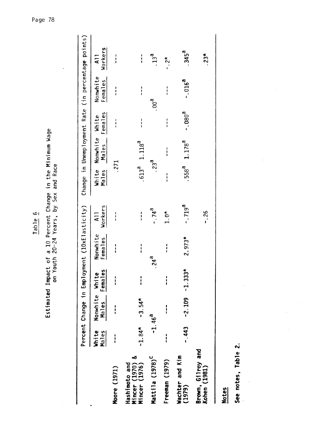| $\overline{\phantom{a}}$ |               | 78                                                                          |
|--------------------------|---------------|-----------------------------------------------------------------------------|
|                          |               |                                                                             |
|                          |               |                                                                             |
|                          |               |                                                                             |
|                          |               |                                                                             |
|                          |               |                                                                             |
|                          |               |                                                                             |
|                          |               |                                                                             |
|                          |               |                                                                             |
|                          |               |                                                                             |
|                          |               |                                                                             |
|                          |               |                                                                             |
|                          |               |                                                                             |
|                          |               |                                                                             |
|                          |               |                                                                             |
|                          |               |                                                                             |
|                          |               |                                                                             |
|                          |               |                                                                             |
|                          |               |                                                                             |
|                          |               |                                                                             |
|                          |               |                                                                             |
|                          |               |                                                                             |
|                          |               |                                                                             |
|                          |               |                                                                             |
|                          |               |                                                                             |
|                          |               |                                                                             |
|                          |               |                                                                             |
|                          |               |                                                                             |
|                          |               |                                                                             |
|                          |               |                                                                             |
|                          |               |                                                                             |
|                          |               |                                                                             |
|                          |               |                                                                             |
|                          |               |                                                                             |
|                          |               |                                                                             |
|                          |               | f a 10 Percent Change in the Minimum Wage<br>h 20-24 Years, by Sex and Race |
|                          |               |                                                                             |
|                          | しょしゅ          |                                                                             |
|                          | $\frac{1}{2}$ |                                                                             |
|                          |               | $\overline{a}$                                                              |
|                          |               |                                                                             |
|                          | Estimated     |                                                                             |
|                          |               |                                                                             |
|                          |               |                                                                             |
|                          |               |                                                                             |
|                          |               |                                                                             |

|                                                   |                |                         |                   | Percent Change in Employment (10xElasticity) |                           |               |                               |               |                     | Change in Unemployment Rate (in percentage points) |
|---------------------------------------------------|----------------|-------------------------|-------------------|----------------------------------------------|---------------------------|---------------|-------------------------------|---------------|---------------------|----------------------------------------------------|
|                                                   | White<br>Males | Nonwhite White<br>Males | Females           | Nonwhite<br>Females                          | Workers<br>$\overline{A}$ | Males         | White Nonwhite White<br>Males | Females       | Nonwhite<br>Females | Workers<br>$\overline{a}$                          |
| Moore (1971)                                      |                |                         | <br> <br>         | $\frac{1}{1}$                                | $\frac{1}{1}$             | .271          |                               | <br> <br>     | $\frac{1}{1}$       | <br> <br>                                          |
| Mincer (1970) &<br>Mincer (1976)<br>Hashimoto and | $-1.84*$       | $-3.54*$                | ;<br>;            | <br> <br>                                    | $\frac{1}{1}$             |               | $.613a$ 1.118 <sup>a</sup>    | ו<br>ו        | <br> <br>           | <br> <br>                                          |
| Mattila (1978) <sup>C</sup>                       |                | $-1.46^{d}$             |                   | .24 <sup>d</sup>                             | $-74^{8}$                 |               | .23 <sup>a</sup>              |               | $\mathbf{e}^{00}$ . | .13 <sup>a</sup>                                   |
| Freeman (1979)                                    |                |                         |                   | ;                                            | $1.0*$                    | $\frac{1}{1}$ | $\frac{1}{1}$                 | $\frac{1}{1}$ | $\frac{1}{1}$       | $-2*$                                              |
| Wachter and Kim<br>(1979)                         | $-443$         |                         | $-2.109 - 1.333*$ | $2.973*$                                     | $-0.719$ <sup>a</sup>     |               | $.558a$ 1.178 <sup>a</sup>    | $-080^{a}$    | $-0.016^{a}$        | .345 <sup>d</sup>                                  |
| Brown, Gilroy and<br>Kohen (1981)                 |                |                         |                   |                                              | $-0.26$                   |               |                               |               |                     | $.23*$                                             |
| <b>Notes</b>                                      |                |                         |                   |                                              |                           |               |                               |               |                     |                                                    |

See notes, Table 2. See notes, Table 2.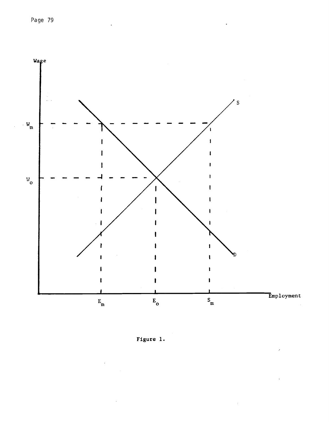

Figure 1.

 $\pm$ 

 $\ddot{\phantom{0}}$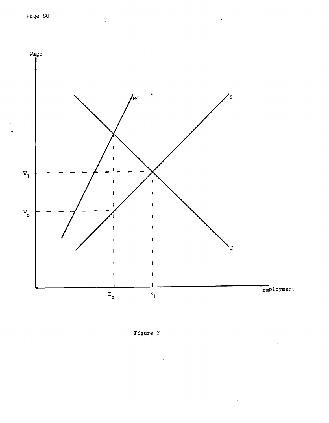$\bar{z}$ 



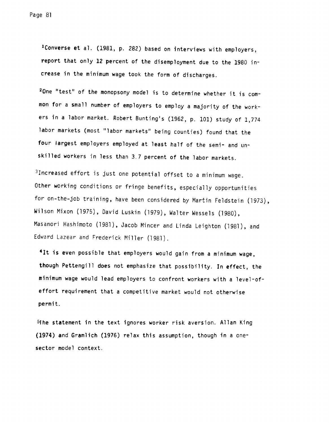1Converse et a]. (1981, p. 282) based on interviews with employers, report that only 12 percent of the disemployment due to the 1980 increase in the minimum wage took the form of discharges.

2One "test" of the monopsony model is to determine whether it is common for a small number of employers to employ a majority of the workers in a labor market. Robert Bunting's (1962, p. 101) study of 1,774 labor markets (most "labor markets" being counties) found that the four largest employers employed at least half of the semi- and unskilled workers in less than 3.7 percent of the labor markets.

3lncreased effort is just one potential offset to a minimum wage. Other working conditions or fringe benefits, especially opportunities for on-the-job training, have been considered by Martin Feldstein (1973), Wilson Mixon (1975), David Luskin (1979), Walter Wessels (1980), Masanori Hashimoto (1981), Jacob Mincer and Linda Leighton (1981), and Edward Lazear and Frederick Miller (1981).

41t is even possible that employers would gain from a minimum wage, though Pettengill does not emphasize that possibility. In effect, the minimum wage would lead employers to confront workers with a level-ofeffort requirement that a competitive market would not otherwise permit.

5the statement in the text ignores worker risk aversion. Allan King (1974) and Gramlich (1976) relax this assumption, though in a onesector model context.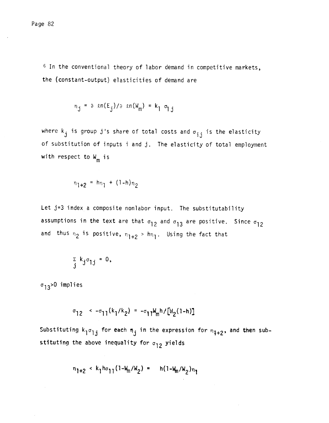6 In the conventional theory of labor demand in competitive markets, the (constant-output) elasticities of demand are

$$
n_j = \partial \text{sn}(E_j) / \partial \text{sn}(W_m) = k_1 \sigma_{ij}
$$

where k<sub>j</sub> is group j's share of total costs and  $\sigma_{\hat{\textbf{i}} \hat{\textbf{j}}}$  is the elasticity of substitution of inputs i and j. The elasticity of total employment with respect to  $W_m$  is

$$
n_{1+2} = h_{n_1} + (1-h)_{n_2}
$$

Let j=3 index a composite nonlabor input. The substitutability assumptions in the text are that  $\sigma_{12}$  and  $\sigma_{13}$  are positive. Since  $\sigma_{12}$ and thus  $n_2$  is positive,  $n_{1+2}$  >  $hn_1$ . Using the fact that

$$
\sum_{j} k_{j} \sigma_{j} = 0,
$$

 $\sigma_{13}$ >0 implies

 $\sigma_{12}$  <  $-\sigma_{11}(k_1/k_2) = -\sigma_{11}k_m h/[N_2(1-h)]$ 

Substituting  $k_1 \sigma_{1,j}$  for each  $n_j$  in the expression for  $n_{1+2}$ , and then substituting the above inequality for  $\sigma_{12}$  yields

$$
n_{1+2} \times k_1 h \sigma_{11} (1 - W_m/W_2) = h(1 - W_m/W_2) n_1
$$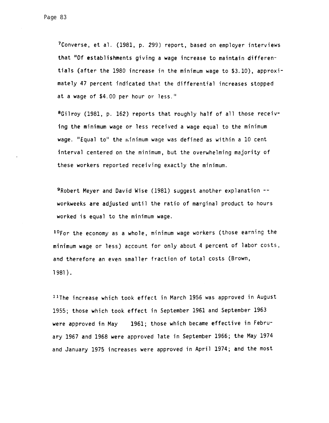7Converse, et al. (1981, p. 299) report, based on employer interviews that "Of establishments giving a wage increase to maintain differentials (after the 1980 increase in the minimum wage to \$3.10), approximately 47 percent indicated that the differential increases stopped at a wage of \$4.00 per hour or less.'

8Gilroy (1981, p. 162) reports that roughly half of all those receiving the minimum wage or less received a wage equal to the minimum wage. "Equal to" the ninimum wage was defined as within a 10 cent interval centered on the minimum, but the overwhelming majority of these workers reported receiving exactly the minimum.

9Robert Meyer and David Wise (1981) suggest another explanation - workweeks are adjusted until the ratio of marginal product to hours worked is equal to the minimum wage.

 $^{10}$ For the economy as a whole, minimum wage workers (those earning the minimum wage or less) account for only about 4 percent of labor costs, and therefore an even smaller fraction of total costs (Brown, 1 981 ).

11The increase which took effect in March 1956 was approved in August 1955; those which took effect in September 1961 and September 1963 were approved in May 1961; those which became effective in February 1967 and 1968 were approved late in September 1966; the May 1974 and January 1975 increases were approved in April 1974; and the most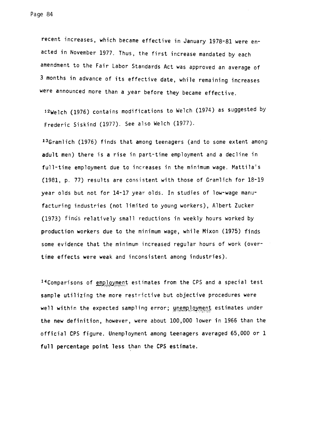recent increases, which became effective in January 1978-81 were en acted in November 1977. Thus, the first increase mandated by each amendment to the Fair Labor Standards Act was approved an average of 3 months in advance of its effective date, while remaining increases were announced more than a year before they became effective.

12Welch (1976) contains modifications to Welch (1974) as suggested by Frederic Siskind (1977). See also Welch (1977).

13Gramlich (1976) finds that among teenagers (and to some extent among adult men) there is a rise in part-time employment and a decline in full-time employment due to increases in the minimum wage. Mattila's (1981, p. 77) results are consistent with those of Gramlich for 18-19 year olds but not for 14-17 year olds. In studies of low-wage manufacturing industries (not limited to young workers), Albert Zucker (1973) finds relatively small reductions in weekly hours worked by production workers due to the minimum wage, while Mixon (1975) finds some evidence that the minimum increased regular hours of work (overtime effects were weak and inconsistent among industries).

<sup>14</sup>Comparisons of employment estimates from the CPS and a special test sample utilizing the more restrictive but objective procedures were well within the expected sampling error; unemployment estimates under the new definition, however, were about 100,000 lower in 1966 than the official CPS figure. Unemployment among teenagers averaged 65,000 or 1 full percentage point less than the CPS estimate.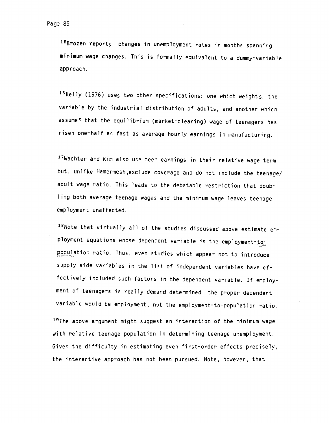15Brozen reports changes in unemployment rates in months spanning minimum wage changes. This is formally equivalent to a dummy-variable approach.

16Kelly (1976) uses two other specifications: one which weights. the variable by the industrial distribution of adults, and another which assumes that the equilibrium (market-clearing) wage of teenagers has risen one-half as fast as average hourly earnings in manufacturing.

17Wachter and Kim also use teen earnings in their relative wage term but, unlike Hamermesh, exclude coverage and do not include the teenage/ adult wage ratio. This leads to the debatable restriction that doubling both average teenage wages and the minimum wage leaves teenage employment unaffected.

18Note that virtually all of the studies discussed above estimate employment equations whose dependent variable is the employment-topopulation ratio. Thus, even studies which appear not to introduce supply side variables in the list of independent variables have effectively included such factors in the dependent variable. If employment of teenagers is really demand determined, the proper dependent variable would be employment, not the employment-to-population ratio.

19The above argument might suggest an interaction of the minimum wage with relative teenage population in determining teenage unemployment. Given the difficulty in estimating even first-order effects precisely, the interactive approach has not been pursued. Note, however, that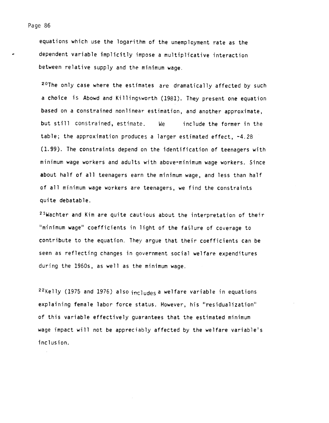equations which use the logarithm of the unemployment rate as the dependent variable implicitly impose a multiplicative interaction between relative supply and the minimum wage.

<sup>20</sup>The only case where the estimates are dramatically affected by such a choice is Abowd and Killingsworth (1981). They present one equation based on a constrained nonlinear estimation, and another approximate, but still constrained, estimate. We include the former in the table; the approximation produces a larger estimated effect, -4.28 (1.99). The constraints depend on the identification of teenagers with minimum wage workers and adults with above-minimum wage workers. Since about half of all teenagers earn the minimum wage, and less than half of all minimum wage workers are teenagers, we find the constraints quite debatable.

21Wachter and Kim are quite cautious about the interpretation of their "minimum wage" coefficients in light of the failure of coverage to contribute to the equation. They argue that their coefficients can be seen as reflecting changes in government social welfare expenditures during the 1960s, as well as the minimum wage.

<sup>22</sup>Kelly (1975 and 1976) also  $inc$ ludes a welfare variable in equations explaining female labor force status. However, his "residualization" of this variable effectively guarantees that the estimated minimum wage impact will not be appreciably affected by the welfare variable's inclusion.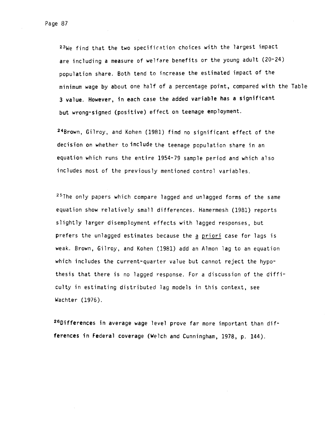23We find that the two specification choices with the largest impact are including a measure of welfare benefits or the young adult (20-24) population share. Both tend to increase the estimated impact of the minimum wage by about one half of a percentage point, compared with the Table 3 value. However, in each case the added variable has a significant but wrong-signed (positive) effect on teenage employment.

24Brown, Gilroy, and Kohen (1981) find no significant effect of the decision on whether to include the teenage population share in an equation which runs the entire 1954-79 sample period and which also includes most of the previously mentioned control variables.

 $25$ The only papers which compare lagged and unlagged forms of the same equation show relatively small differences. Hamermesh (1981) reports slightly larger disemployment effects with lagged responses, but prefers the unlagged estimates because the a priori case for lags is weak. Brown, Gilroy, and Kohen (1981) add an Almon lag to an equation which includes the current-quarter value but cannot reject the hypothesis that there is no lagged response. For a discussion of the difficulty in estimating distributed lag models in this context, see Wachter (1976).

26Differences in average wage level prove far more important than differences in Federal coverage (Welch and Cunningham, 1978, p. 144).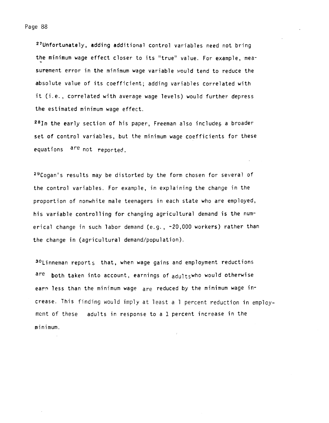27Unfortunately, adding additional control variables need not bring the minimum wage effect closer to its "true' value. For example, measurement error in the minimum wage variable would tend to reduce the absolute value of its coefficient; adding variables correlated with it (i.e. , correlated with average wage levels) would further depress the estimated minimum wage effect.

28In the early section of his paper, Freeman also includes a broader set of control variables, but the minimum wage coefficients for these equations are not reported.

29Cogan's results may be distorted by the form chosen for several of the control variables. For example, in explaining the change in the proportion of nonwhite male teenagers in each state who are employed, his variable controlling for changing agricultural demand is the numerical change in such labor demand (e.g., -20,000 workers) rather than the change in (agricultural demand/population).

30Linneman reports that, when wage gains and employment reductions are both taken into account, earnings of adultswho would otherwise earn less than the minimum wage are reduced by the minimum wage increase. This finding would imply at least a 1 percent reduction in employmcnt of these adults in response to a 1 percent increase in the minimum.

Page 88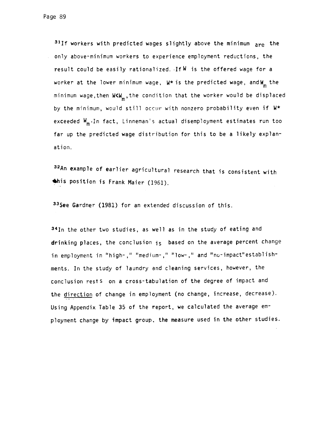$31$ If workers with predicted wages slightly above the minimum  $are{ are }$  the only above-minimum workers to experience employment reductions, the result could be easily rationalized. If W is the offered wage for a worker at the lower minimum wage,  $W^*$  is the predicted wage, and  $W_m$  the minimum wage, then W<W , the condition that the worker would be displaced by the minimum, would still occur with nonzero probability even if W\* exceeded W<sub>m</sub>. In fact, Linneman's actual disemployment estimates run too far up the predicted wage distribution for this to be a likely explanation.

32An example of earlier agricultural research that is consistent with this position is Frank Maier (1961).

33See Gardner (1981) for an extended discussion of this.

34In the other two studies, as well as in the study of eating and drinking places, the conclusion is based on the average percent change in employment in "high-," "medium-," "low-," and "no-impact"establishments. In the study of laundry and cleaning services, however, the conclusion rests on a cross-tabulation of the degree of impact and the direction of change in employment (no change, increase, decrease). Using Appendix Table 35 of the report, we calculated the average employment change by impact group. the measure used in the other studies.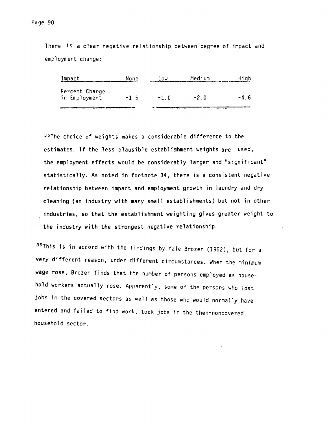There is a clear negative relationship between degree of impact and employment change:

| $\rightarrow$ $\rightarrow$     | None   | nw     | - - - - -<br>$\sim$ $\sim$ $\sim$ | -<br>$\sim$ |
|---------------------------------|--------|--------|-----------------------------------|-------------|
| Percent Change<br>in Employment | $+1.5$ | $-1$ 0 | $-2.0$                            | $-4$ b      |
|                                 | .      | .      |                                   |             |

<sup>35</sup>The choice of weights makes a considerable difference to the estimates. If the less plausible establishment weights are used, the employment effects would be considerably larger and "significant" statistically. As noted in footnote 34, there is a consistent negative relationship between impact and employment growth in laundry and dry cleaning (an industry with many small establishments) but not in other industries, so that the establishment weighting gives greater weight to the industry with the strongest negative relationship.

36This is in accord with the findings by Yale Brozen (1962), but for a very different reason, under different circumstances. When the minimum wage rose, Brozen finds that the number of persons employed as household workers actually rose. Apparently, some of the persons who lost jobs in the covered sectors as well as those who would normally have entered and failed to find work, took jobs in the then-noncovered household sector.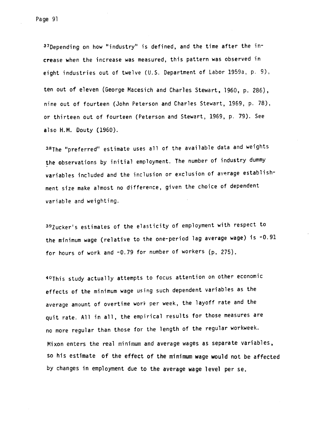37Depending on how "industry" is defined, and the time after the increase when the increase was measured, this pattern was observed in eight industries out of twelve (U.S. Department of Labor 1959a, p. 9), ten out of eleven (George Macesich and Charles Stewart, 1960, p. 286), nine out of fourteen (John Peterson and Charles Stewart, 1969, p. 78), or thirteen out of fourteen (Peterson and Stewart, 1969, p. 79). See also H.M. Douty (1960).

38The "preferred" estimate uses all of the available data and weights the observations by initial employment. The number of industry dummy variables included and the inclusion or exclusion of average establishment size make almost no difference, given the choice of dependent variable and weighting.

39Zucker's estimates of the elasticity of employment with respect to the minimum wage (relative to the one-period lag average wage) is -0.91 for hours of work and -0.79 for number of workers (p. 275).

40This study actually attempts to focus attention on other economic effects of the minimum wage using such dependent variables as the average amount of overtime work per week, the layoff rate and the quit rate. All in all, the empirical results for those measures are no more regular than those for the length of the regular workweek. Nixon enters the real minimum and average wages as separate variables, so his estimate of the effect of the minimum wage would not be affected by changes in employment due to the average wage level per Se.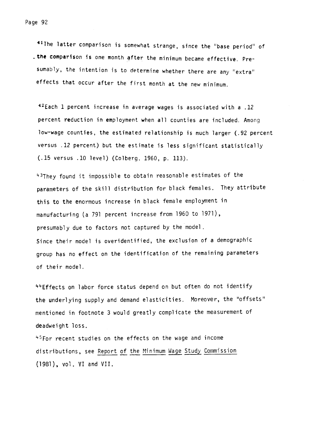41The latter comparison is somewhat strange, since the "base period" of .the comparison is one month after the minimum became effective. Presumably, the intention is to determine whether there are any "extra" effects that occur after the first month at the new minimum.

42Each 1 percent increase in average wages is associated with a .12 percent reduction in employment when all counties are included. Among low-wage counties, the estimated relationship is much larger (.92 percent versus .12 percent) but the estimate is less significant statistically (.15 versus .10 level) (Colberg. 1960, p. 113).

43They found it impossible to obtain reasonable estimates of the parameters of the skill distribution for black females. They attribute this to the enormous increase in black female employment in manufacturing (a 791 percent increase from 1960 to 1971), presumably due to factors not captured by the model Since their model is overidentified, the exclusion of a demographic group has no effect on the identification of the remaining parameters of their model.

44Effects on labor force status depend on but often do not identify the underlying supply and demand elasticities. Moreover, the "offsets" mentioned in footnote 3 would greatly complicate the measurement of deadweight loss.

<sup>45</sup>For recent studies on the effects on the wage and income distributions, see Report of the Minimum Wage Study Commission (1981), vol. VI and VII.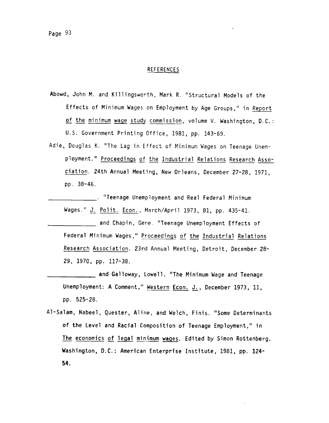## REFERENCES

- Abowd, John M. and Killingsworth, Mark R. "Structural Models of the Effects of Minimum Wages on Employment by Age Groups,' in Report of the minimum wage study commission, volume V. Washington, D.C.: U.S. Government Printing Office, 1981, pp. 143-69.
- Adie, Douglas K. "The Lag in Effect of Minimum Wages on Teenage Unemployment." Proceedings of the Industrial Relations Research ciation. 24th Annual Meeting, New Orleans, December 27-28, 1971, pp. 38-46.

\_\_\_\_\_\_\_\_\_\_\_\_\_\_\_\_ "Teenage Unemployment and Real Federal Minimum Wages." J. Polit. Econ. , March/April 1973, 81, pp. 435-41.

\_\_\_\_\_\_\_\_\_\_\_\_\_\_\_\_ and Chapin, Gene. "Teenage Unemployment Effects of Federal Minimum Wages," Proceedings of the Industrial Relations Research Association. 23rd Annual Meeting, Detroit, December 28- 29, 1970, pp. 117-38.

- \_\_\_\_\_\_\_\_\_\_\_\_\_\_\_ and Galloway, Lowell. "The Minimum Wage and Teenage Unemployment: A Comment," Western Econ. J., December 1973, 11, pp. 525-28.
- Al-Salam, Nabeel, Quester, Aline, and Welch, Finis. "Some Determinants of the Level and Racial Composition of Teenage Employment," in The economics of legal minimum wages. Edited by Simon Rottenberg. Washington, D.C.: American Enterprise Institute, 1981, pp. 124 54.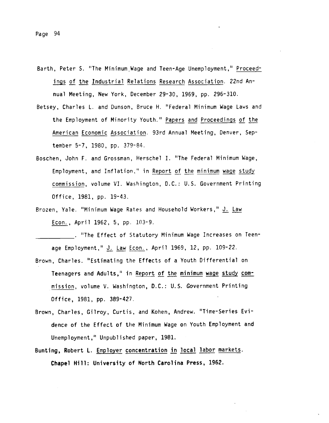- Barth, Peter S. "The Minimum,Wage and Teen-Age Unemployment," ings of the Industrial Relations Research Association. 22nd Annual Meeting, New York, December 29-30, 1969, pp. 296-310.
- Betsey, Charles L. and Dunson, Bruce H. "Federal Minimum Wage Laws and the Employment of Minority Youth." Papers and Proceedings of the American Economic Association. 93rd Annual Meeting, Denver, September 5-7, 1980, pp. 379-84.
- Boschen, John F. and Grossman, Herschel I. "The Federal Minimum Wage, Employment, and Inflation," in Report of the minimum wage study commission, volume VI. Washington, D.C.: U.S. Government Printing Office, 1981, pp. 19-43.
- Brozen, Yale. "Minimum Wage Rates and Household Workers," J. Law Econ. , April 1962, 5, pp. 103-9.

. "The Effect of Statutory Minimum Wage Increases on Teenage Employment," J. Law Econ. , April 1969, 12, pp. 109-22.

- Brown, Charles. "Estimating the Effects of a Youth Differential on Teenagers and Adults," in Report of the minimum wage study commission, volume V. Washington, D.C.: U.S. Government Printing Office, 1981, pp. 389-427.
- Brown, Charles, Gilroy, Curtis, and Kohen, Andrew. "Time-Series Evidence of the Effect of the Minimum Wage on Youth Employment and Unemployment," Unpublished paper, 1981.
- Bunting, Robert L. Employer concentration in local labor markets. Chapel Hill: University of North Carolina Press, 1962.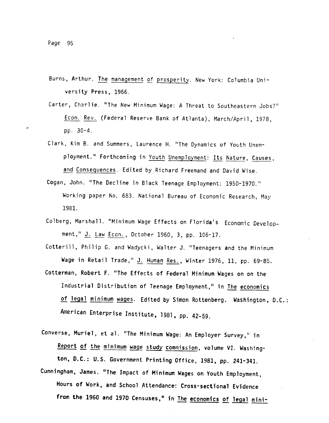- Burns, Arthur. The management of prosperity. New York: Columbia University Press, 1966.
- Carter, Charlie. "The New Minimum Wage: A Threat to Southeastern Jobs?' Econ. Rev. (Federal Reserve Bank of Atlanta), March/April, 1978, pp. 30-4.
- Clark, Kim B. and Summers, Laurence H. "The Dynamics of Youth Unemployment." Forthcoming in Youth Unemployment: Its Nature, Causes, and Consequences. Edited by Richard Freemand and David Wise.
- Cogan, John. "The Decline in Black Teenage Employment: 1950-1970." Working paper No. 683. National Bureau of Economic Research, May 1981.
- Colberg, Marshall. "Minimum Wage Effects on Florida's Economic Development," J. Law Econ. , October 1960, 3, pp. 106-17.

Cotterill, Philip 0. and Wadycki, Walter J. "Teenagers and the Minimum Wage in Retail Trade," J. Human Res. , Winter 1976, 11, pp. 69-85.

- Cotterman, Robert F. "The Effects of Federal Minimum Wages on on the Industrial Distribution of Teenage Employment," in The economics of legal minimum wages. Edited by Simon Rottenberg. Washington, D.C.: American Enterprise Institute, 1981, pp. 42-59.
- Converse, Muriel, et al. "The Minimum Wage: An Employer Survey," in Report of the minimum wage study commission, volume VI. Washington, D.C.: U.S. Government Printing Office, 1981, pp. 241-341.
- Cunningham, James. "The Impact of Minimum Wages on Youth Employment, Hours of Work, and School Attendance: Cross-sectional Evidence from the 1960 and 1970 Censuses," in The economics of legal mini-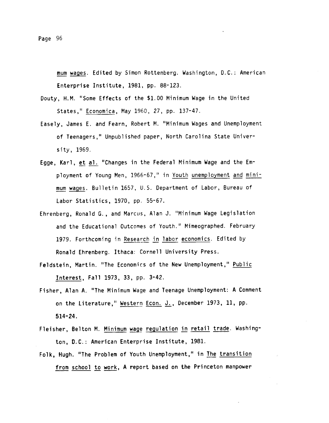mum wages. Edited by Simon Rottenberg. Washington, D.C.: American Enterprise Institute, 1981, pp. 88-123.

- Douty, H.M. "Some Effects of the \$1.00 Minimum Wage in the United States," Economica, May 1960, 27, pp. 137-47.
- Easely, James E. and Fearn, Robert M. 'Minimum Wages and Unemployment of Teenagers," Unpublished paper, North Carolina State University, 1969.
- Egge, Karl, et al. "Changes in the Federal Minimum Wage and the Employment of Young Men, 1966-67," in Youth unemployment and minimum wages. Bulletin 1657, U.S. Department of Labor, Bureau of Labor Statistics, 1970, pp. 55-67.
- Ehrenberg, Ronald G. , and Marcus, Alan J. "Minimum Wage Legislation and the Educational Outcomes of Youth." Mimeographed. February 1979. Forthcoming in Research in labor economics. Edited by Ronald Ehrenberg. Ithaca: Cornell University Press.
- Feldstein, Martin. "The Economics of the New Unemployment," Public Interest, Fall 1973, 33, pp. 3-42.
- Fisher, Alan A. "The Minimum Wage and Teenage Unemployment: A Comment on the Literature," Western Econ. J., December 1973, 11, pp. 514-24.
- Fleisher, Belton M. Minimum wage regulation in retail trade. Washington, D.C.: American Enterprise Institute, 1981.
- Folk, Hugh. "The Problem of Youth Unemployment," in The transition from school to work, A report based on the Princeton manpower